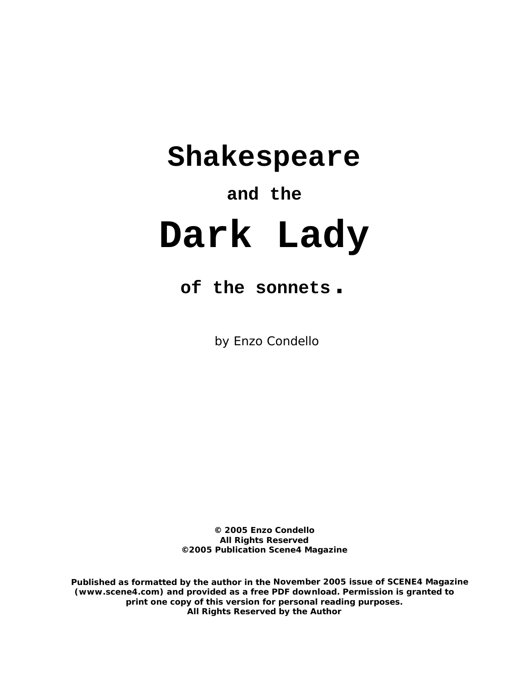## **Shakespeare**

## **and the**

# **Dark Lady**

## **of the sonnets.**

by Enzo Condello

**© 2005 Enzo Condello All Rights Reserved ©2005 Publication Scene4 Magazine** 

**Published as formatted by the author in the November 2005 issue of SCENE4 Magazine (www.scene4.com) and provided as a free PDF download. Permission is granted to print one copy of this version for personal reading purposes. All Rights Reserved by the Author**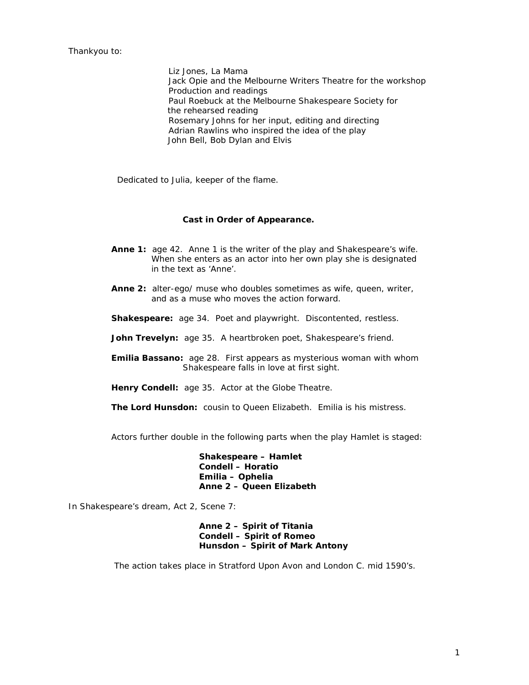Thankyou to:

 Liz Jones, La Mama Jack Opie and the Melbourne Writers Theatre for the workshop Production and readings Paul Roebuck at the Melbourne Shakespeare Society for the rehearsed reading Rosemary Johns for her input, editing and directing Adrian Rawlins who inspired the idea of the play John Bell, Bob Dylan and Elvis

Dedicated to Julia, keeper of the flame.

#### **Cast in Order of Appearance.**

- Anne 1: age 42. Anne 1 is the writer of the play and Shakespeare's wife. When she enters as an actor into her own play she is designated in the text as 'Anne'.
- **Anne 2:** alter-ego/ muse who doubles sometimes as wife, queen, writer, and as a muse who moves the action forward.
- **Shakespeare:** age 34. Poet and playwright. Discontented, restless.
- **John Trevelyn:** age 35. A heartbroken poet, Shakespeare's friend.
- **Emilia Bassano:** age 28. First appears as mysterious woman with whom Shakespeare falls in love at first sight.
- **Henry Condell:** age 35. Actor at the Globe Theatre.
- **The Lord Hunsdon:** cousin to Queen Elizabeth. Emilia is his mistress.

Actors further double in the following parts when the play *Hamlet* is staged:

 **Shakespeare – Hamlet Condell – Horatio Emilia – Ophelia Anne 2 – Queen Elizabeth** 

In Shakespeare's dream, Act 2, Scene 7:

 **Anne 2 – Spirit of Titania Condell – Spirit of Romeo Hunsdon – Spirit of Mark Antony**

The action takes place in Stratford Upon Avon and London C. mid 1590's.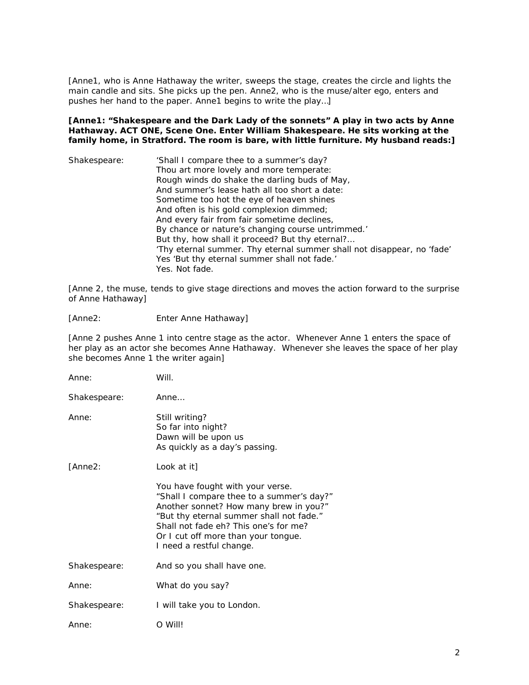*[Anne1, who is Anne Hathaway the writer, sweeps the stage, creates the circle and lights the main candle and sits. She picks up the pen. Anne2, who is the muse/alter ego, enters and pushes her hand to the paper. Anne1 begins to write the play…]* 

*[Anne1: "Shakespeare and the Dark Lady of the sonnets" A play in two acts by Anne Hathaway. ACT ONE, Scene One. Enter William Shakespeare. He sits working at the family home, in Stratford. The room is bare, with little furniture. My husband reads:]* 

| Shakespeare: | 'Shall I compare thee to a summer's day?                               |
|--------------|------------------------------------------------------------------------|
|              | Thou art more lovely and more temperate:                               |
|              | Rough winds do shake the darling buds of May,                          |
|              | And summer's lease hath all too short a date:                          |
|              | Sometime too hot the eye of heaven shines                              |
|              | And often is his gold complexion dimmed;                               |
|              | And every fair from fair sometime declines,                            |
|              | By chance or nature's changing course untrimmed.'                      |
|              | But thy, how shall it proceed? But thy eternal?                        |
|              | 'Thy eternal summer. Thy eternal summer shall not disappear, no 'fade' |
|              | Yes 'But thy eternal summer shall not fade.'                           |
|              | Yes. Not fade.                                                         |

*[Anne 2, the muse, tends to give stage directions and moves the action forward to the surprise of Anne Hathaway]* 

[Anne2: Enter Anne Hathaway]

*[Anne 2 pushes Anne 1 into centre stage as the actor. Whenever Anne 1 enters the space of her play as an actor she becomes Anne Hathaway. Whenever she leaves the space of her play she becomes Anne 1 the writer again]* 

| Anne:        | Will.                                                                                                                                                                                                                                                                           |
|--------------|---------------------------------------------------------------------------------------------------------------------------------------------------------------------------------------------------------------------------------------------------------------------------------|
| Shakespeare: | Anne                                                                                                                                                                                                                                                                            |
| Anne:        | Still writing?<br>So far into night?<br>Dawn will be upon us<br>As quickly as a day's passing.                                                                                                                                                                                  |
| [Anne2:      | Look at it]                                                                                                                                                                                                                                                                     |
|              | You have fought with your verse.<br>"Shall I compare thee to a summer's day?"<br>Another sonnet? How many brew in you?"<br>"But thy eternal summer shall not fade."<br>Shall not fade eh? This one's for me?<br>Or I cut off more than your tongue.<br>I need a restful change. |
| Shakespeare: | And so you shall have one.                                                                                                                                                                                                                                                      |
| Anne:        | What do you say?                                                                                                                                                                                                                                                                |
| Shakespeare: | I will take you to London.                                                                                                                                                                                                                                                      |
| Anne:        | O Will!                                                                                                                                                                                                                                                                         |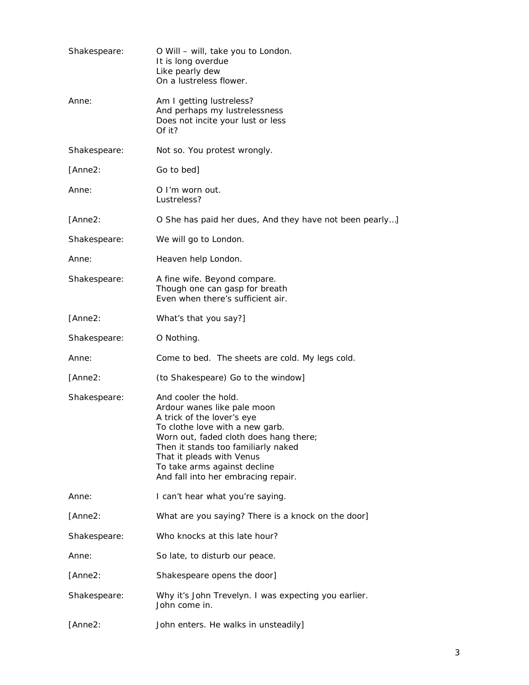| Shakespeare: | O Will – will, take you to London.<br>It is long overdue<br>Like pearly dew<br>On a lustreless flower.                                                                                                                                                                                                    |
|--------------|-----------------------------------------------------------------------------------------------------------------------------------------------------------------------------------------------------------------------------------------------------------------------------------------------------------|
| Anne:        | Am I getting lustreless?<br>And perhaps my lustrelessness<br>Does not incite your lust or less<br>Of it?                                                                                                                                                                                                  |
| Shakespeare: | Not so. You protest wrongly.                                                                                                                                                                                                                                                                              |
| [Anne2:      | Go to bed]                                                                                                                                                                                                                                                                                                |
| Anne:        | O I'm worn out.<br>Lustreless?                                                                                                                                                                                                                                                                            |
| [Anne2:      | O She has paid her dues, And they have not been pearly]                                                                                                                                                                                                                                                   |
| Shakespeare: | We will go to London.                                                                                                                                                                                                                                                                                     |
| Anne:        | Heaven help London.                                                                                                                                                                                                                                                                                       |
| Shakespeare: | A fine wife. Beyond compare.<br>Though one can gasp for breath<br>Even when there's sufficient air.                                                                                                                                                                                                       |
| [Anne2:      | What's that you say?]                                                                                                                                                                                                                                                                                     |
| Shakespeare: | O Nothing.                                                                                                                                                                                                                                                                                                |
| Anne:        | Come to bed. The sheets are cold. My legs cold.                                                                                                                                                                                                                                                           |
| [Anne2:      | <i>(to Shakespeare)</i> Go to the window]                                                                                                                                                                                                                                                                 |
| Shakespeare: | And cooler the hold.<br>Ardour wanes like pale moon<br>A trick of the lover's eye<br>To clothe love with a new garb.<br>Worn out, faded cloth does hang there;<br>Then it stands too familiarly naked<br>That it pleads with Venus<br>To take arms against decline<br>And fall into her embracing repair. |
| Anne:        | I can't hear what you're saying.                                                                                                                                                                                                                                                                          |
| [Anne2:      | What are you saying? There is a knock on the door]                                                                                                                                                                                                                                                        |
| Shakespeare: | Who knocks at this late hour?                                                                                                                                                                                                                                                                             |
| Anne:        | So late, to disturb our peace.                                                                                                                                                                                                                                                                            |
| [Anne2:      | Shakespeare opens the door]                                                                                                                                                                                                                                                                               |
| Shakespeare: | Why it's John Trevelyn. I was expecting you earlier.<br>John come in.                                                                                                                                                                                                                                     |
| [Anne2:      | John enters. He walks in unsteadily]                                                                                                                                                                                                                                                                      |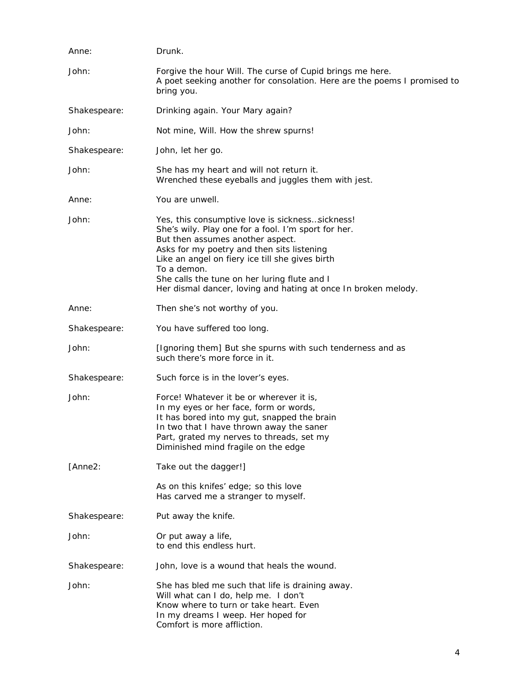| Anne:        | Drunk.                                                                                                                                                                                                                                                                                                                                                                        |
|--------------|-------------------------------------------------------------------------------------------------------------------------------------------------------------------------------------------------------------------------------------------------------------------------------------------------------------------------------------------------------------------------------|
| John:        | Forgive the hour Will. The curse of Cupid brings me here.<br>A poet seeking another for consolation. Here are the poems I promised to<br>bring you.                                                                                                                                                                                                                           |
| Shakespeare: | Drinking again. Your Mary again?                                                                                                                                                                                                                                                                                                                                              |
| John:        | Not mine, Will. How the shrew spurns!                                                                                                                                                                                                                                                                                                                                         |
| Shakespeare: | John, let her go.                                                                                                                                                                                                                                                                                                                                                             |
| John:        | She has my heart and will not return it.<br>Wrenched these eyeballs and juggles them with jest.                                                                                                                                                                                                                                                                               |
| Anne:        | You are unwell.                                                                                                                                                                                                                                                                                                                                                               |
| John:        | Yes, this consumptive love is sickness sickness!<br>She's wily. Play one for a fool. I'm sport for her.<br>But then assumes another aspect.<br>Asks for my poetry and then sits listening<br>Like an angel on fiery ice till she gives birth<br>To a demon.<br>She calls the tune on her luring flute and I<br>Her dismal dancer, loving and hating at once In broken melody. |
| Anne:        | Then she's not worthy of you.                                                                                                                                                                                                                                                                                                                                                 |
| Shakespeare: | You have suffered too long.                                                                                                                                                                                                                                                                                                                                                   |
| John:        | [Ignoring them] But she spurns with such tenderness and as<br>such there's more force in it.                                                                                                                                                                                                                                                                                  |
| Shakespeare: | Such force is in the lover's eyes.                                                                                                                                                                                                                                                                                                                                            |
| John:        | Force! Whatever it be or wherever it is,<br>In my eyes or her face, form or words,<br>It has bored into my gut, snapped the brain<br>In two that I have thrown away the saner<br>Part, grated my nerves to threads, set my<br>Diminished mind fragile on the edge                                                                                                             |
| [Anne2:      | Take out the dagger!]                                                                                                                                                                                                                                                                                                                                                         |
|              | As on this knifes' edge; so this love<br>Has carved me a stranger to myself.                                                                                                                                                                                                                                                                                                  |
| Shakespeare: | Put away the knife.                                                                                                                                                                                                                                                                                                                                                           |
| John:        | Or put away a life,<br>to end this endless hurt.                                                                                                                                                                                                                                                                                                                              |
| Shakespeare: | John, love is a wound that heals the wound.                                                                                                                                                                                                                                                                                                                                   |
| John:        | She has bled me such that life is draining away.<br>Will what can I do, help me. I don't<br>Know where to turn or take heart. Even<br>In my dreams I weep. Her hoped for<br>Comfort is more affliction.                                                                                                                                                                       |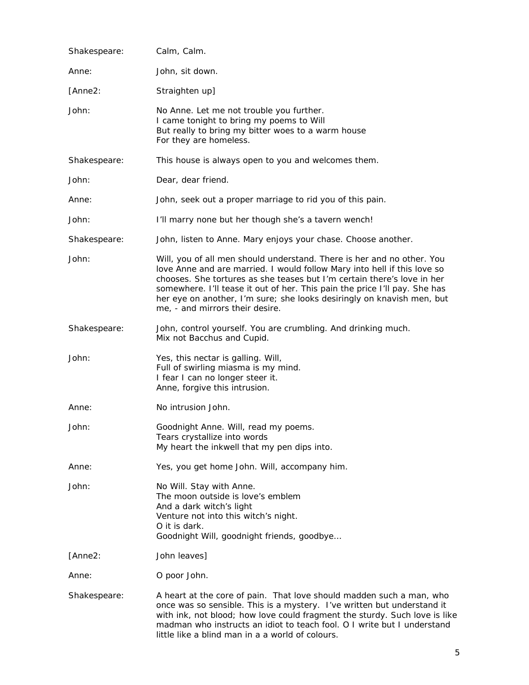| Shakespeare: | Calm, Calm.                                                                                                                                                                                                                                                                                                                                                                                                              |
|--------------|--------------------------------------------------------------------------------------------------------------------------------------------------------------------------------------------------------------------------------------------------------------------------------------------------------------------------------------------------------------------------------------------------------------------------|
| Anne:        | John, sit down.                                                                                                                                                                                                                                                                                                                                                                                                          |
| [Anne2:      | Straighten up]                                                                                                                                                                                                                                                                                                                                                                                                           |
| John:        | No Anne. Let me not trouble you further.<br>I came tonight to bring my poems to Will<br>But really to bring my bitter woes to a warm house<br>For they are homeless.                                                                                                                                                                                                                                                     |
| Shakespeare: | This house is always open to you and welcomes them.                                                                                                                                                                                                                                                                                                                                                                      |
| John:        | Dear, dear friend.                                                                                                                                                                                                                                                                                                                                                                                                       |
| Anne:        | John, seek out a proper marriage to rid you of this pain.                                                                                                                                                                                                                                                                                                                                                                |
| John:        | I'll marry none but her though she's a tavern wench!                                                                                                                                                                                                                                                                                                                                                                     |
| Shakespeare: | John, listen to Anne. Mary enjoys your chase. Choose another.                                                                                                                                                                                                                                                                                                                                                            |
| John:        | Will, you of all men should understand. There is her and no other. You<br>love Anne and are married. I would follow Mary into hell if this love so<br>chooses. She tortures as she teases but I'm certain there's love in her<br>somewhere. I'll tease it out of her. This pain the price I'll pay. She has<br>her eye on another, I'm sure; she looks desiringly on knavish men, but<br>me, - and mirrors their desire. |
| Shakespeare: | John, control yourself. You are crumbling. And drinking much.<br>Mix not Bacchus and Cupid.                                                                                                                                                                                                                                                                                                                              |
| John:        | Yes, this nectar is galling. Will,<br>Full of swirling miasma is my mind.<br>I fear I can no longer steer it.<br>Anne, forgive this intrusion.                                                                                                                                                                                                                                                                           |
| Anne:        | No intrusion John.                                                                                                                                                                                                                                                                                                                                                                                                       |
| John:        | Goodnight Anne. Will, read my poems.<br>Tears crystallize into words<br>My heart the inkwell that my pen dips into.                                                                                                                                                                                                                                                                                                      |
| Anne:        | Yes, you get home John. Will, accompany him.                                                                                                                                                                                                                                                                                                                                                                             |
| John:        | No Will. Stay with Anne.<br>The moon outside is love's emblem<br>And a dark witch's light<br>Venture not into this witch's night.<br>O it is dark.<br>Goodnight Will, goodnight friends, goodbye                                                                                                                                                                                                                         |
| [Anne2:      | John leaves]                                                                                                                                                                                                                                                                                                                                                                                                             |
| Anne:        | O poor John.                                                                                                                                                                                                                                                                                                                                                                                                             |
| Shakespeare: | A heart at the core of pain. That love should madden such a man, who<br>once was so sensible. This is a mystery. I've written but understand it<br>with ink, not blood; how love could fragment the sturdy. Such love is like<br>madman who instructs an idiot to teach fool. O I write but I understand<br>little like a blind man in a a world of colours.                                                             |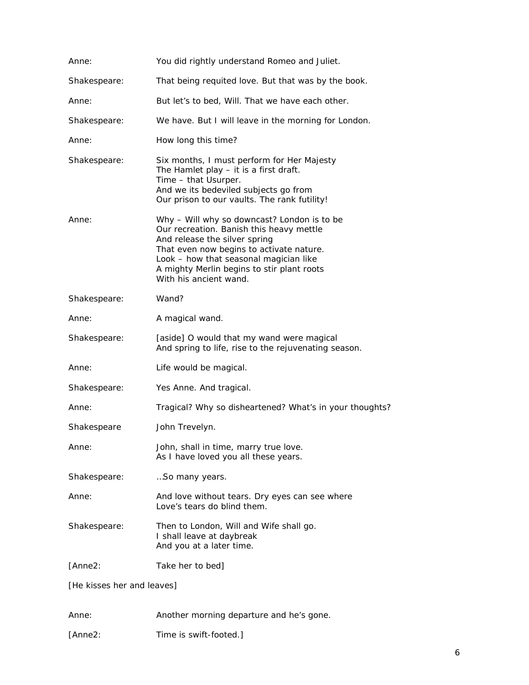| Anne:                      | You did rightly understand Romeo and Juliet.                                                                                                                                                                                                                                           |
|----------------------------|----------------------------------------------------------------------------------------------------------------------------------------------------------------------------------------------------------------------------------------------------------------------------------------|
| Shakespeare:               | That being requited love. But that was by the book.                                                                                                                                                                                                                                    |
| Anne:                      | But let's to bed, Will. That we have each other.                                                                                                                                                                                                                                       |
| Shakespeare:               | We have. But I will leave in the morning for London.                                                                                                                                                                                                                                   |
| Anne:                      | How long this time?                                                                                                                                                                                                                                                                    |
| Shakespeare:               | Six months, I must perform for Her Majesty<br>The Hamlet play - it is a first draft.<br>Time - that Usurper.<br>And we its bedeviled subjects go from<br>Our prison to our vaults. The rank futility!                                                                                  |
| Anne:                      | Why - Will why so downcast? London is to be<br>Our recreation. Banish this heavy mettle<br>And release the silver spring<br>That even now begins to activate nature.<br>Look - how that seasonal magician like<br>A mighty Merlin begins to stir plant roots<br>With his ancient wand. |
| Shakespeare:               | Wand?                                                                                                                                                                                                                                                                                  |
| Anne:                      | A magical wand.                                                                                                                                                                                                                                                                        |
| Shakespeare:               | [aside] O would that my wand were magical<br>And spring to life, rise to the rejuvenating season.                                                                                                                                                                                      |
| Anne:                      | Life would be magical.                                                                                                                                                                                                                                                                 |
| Shakespeare:               | Yes Anne. And tragical.                                                                                                                                                                                                                                                                |
| Anne:                      | Tragical? Why so disheartened? What's in your thoughts?                                                                                                                                                                                                                                |
| Shakespeare                | John Trevelyn.                                                                                                                                                                                                                                                                         |
| Anne:                      | John, shall in time, marry true love.<br>As I have loved you all these years.                                                                                                                                                                                                          |
| Shakespeare:               | So many years.                                                                                                                                                                                                                                                                         |
| Anne:                      | And love without tears. Dry eyes can see where<br>Love's tears do blind them.                                                                                                                                                                                                          |
| Shakespeare:               | Then to London, Will and Wife shall go.<br>I shall leave at daybreak<br>And you at a later time.                                                                                                                                                                                       |
| [Anne2:                    | Take her to bed]                                                                                                                                                                                                                                                                       |
| [He kisses her and leaves] |                                                                                                                                                                                                                                                                                        |

Anne: Another morning departure and he's gone.

[Anne2: Time is swift-footed.]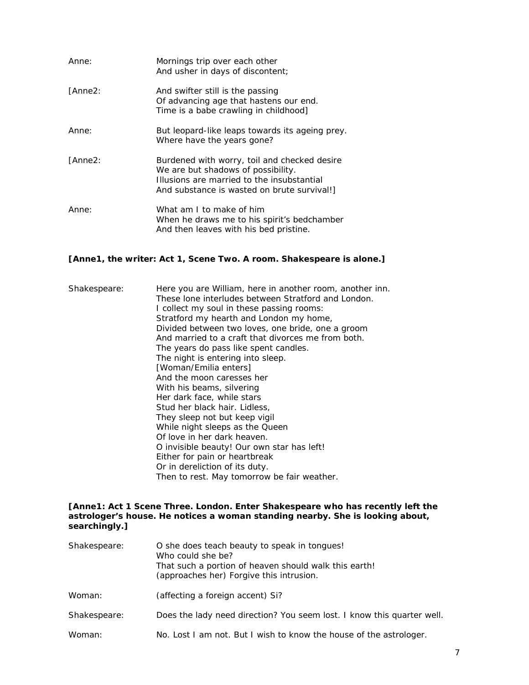| Anne:   | Mornings trip over each other<br>And usher in days of discontent;                                                                                                              |
|---------|--------------------------------------------------------------------------------------------------------------------------------------------------------------------------------|
| [Anne2: | And swifter still is the passing<br>Of advancing age that hastens our end.<br>Time is a babe crawling in childhood]                                                            |
| Anne:   | But leopard-like leaps towards its ageing prey.<br>Where have the years gone?                                                                                                  |
| [Anne2: | Burdened with worry, toil and checked desire<br>We are but shadows of possibility.<br>Illusions are married to the insubstantial<br>And substance is wasted on brute survival! |
| Anne:   | What am I to make of him<br>When he draws me to his spirit's bedchamber<br>And then leaves with his bed pristine.                                                              |

#### *[Anne1, the writer: Act 1, Scene Two. A room. Shakespeare is alone.]*

| Shakespeare: | Here you are William, here in another room, another inn.<br>These lone interludes between Stratford and London.<br>I collect my soul in these passing rooms:<br>Stratford my hearth and London my home,<br>Divided between two loves, one bride, one a groom<br>And married to a craft that divorces me from both.<br>The years do pass like spent candles.<br>The night is entering into sleep.<br>[Woman/Emilia enters]<br>And the moon caresses her<br>With his beams, silvering<br>Her dark face, while stars<br>Stud her black hair. Lidless,<br>They sleep not but keep vigil<br>While night sleeps as the Queen<br>Of love in her dark heaven.<br>O invisible beauty! Our own star has left!<br>Either for pain or heartbreak |
|--------------|--------------------------------------------------------------------------------------------------------------------------------------------------------------------------------------------------------------------------------------------------------------------------------------------------------------------------------------------------------------------------------------------------------------------------------------------------------------------------------------------------------------------------------------------------------------------------------------------------------------------------------------------------------------------------------------------------------------------------------------|
|              | Or in dereliction of its duty.<br>Then to rest. May tomorrow be fair weather.                                                                                                                                                                                                                                                                                                                                                                                                                                                                                                                                                                                                                                                        |
|              |                                                                                                                                                                                                                                                                                                                                                                                                                                                                                                                                                                                                                                                                                                                                      |

#### [Anne1: Act 1 Scene Three. London. Enter Shakespeare who has recently left the *astrologer's house. He notices a woman standing nearby. She is looking about, searchingly.]*

| Shakespeare: | O she does teach beauty to speak in tongues!<br>Who could she be?<br>That such a portion of heaven should walk this earth!<br>(approaches her) Forgive this intrusion. |
|--------------|------------------------------------------------------------------------------------------------------------------------------------------------------------------------|
| Woman:       | (affecting a foreign accent) Si?                                                                                                                                       |
| Shakespeare: | Does the lady need direction? You seem lost. I know this quarter well.                                                                                                 |
| Woman:       | No. Lost I am not. But I wish to know the house of the astrologer.                                                                                                     |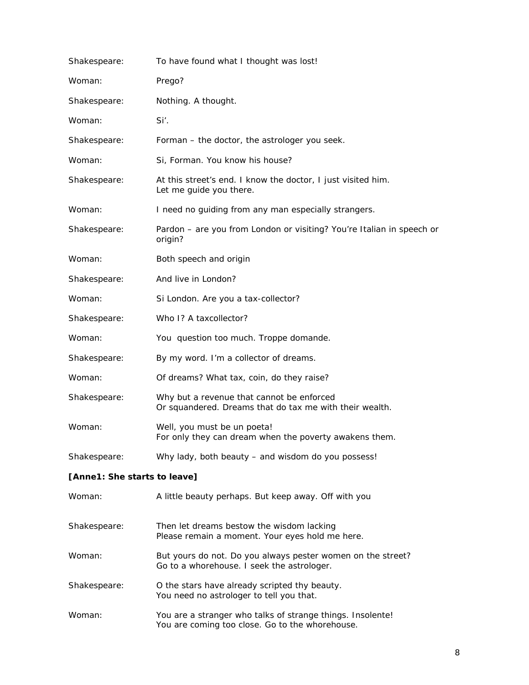| Shakespeare:                 | To have found what I thought was lost!                                                                        |
|------------------------------|---------------------------------------------------------------------------------------------------------------|
| Woman:                       | Prego?                                                                                                        |
| Shakespeare:                 | Nothing. A thought.                                                                                           |
| Woman:                       | Si'.                                                                                                          |
| Shakespeare:                 | Forman - the doctor, the astrologer you seek.                                                                 |
| Woman:                       | Si, Forman. You know his house?                                                                               |
| Shakespeare:                 | At this street's end. I know the doctor, I just visited him.<br>Let me guide you there.                       |
| Woman:                       | I need no guiding from any man especially strangers.                                                          |
| Shakespeare:                 | Pardon - are you from London or visiting? You're Italian in speech or<br>origin?                              |
| Woman:                       | Both speech and origin                                                                                        |
| Shakespeare:                 | And live in London?                                                                                           |
| Woman:                       | Si London. Are you a tax-collector?                                                                           |
| Shakespeare:                 | Who I? A taxcollector?                                                                                        |
| Woman:                       | You question too much. Troppe domande.                                                                        |
| Shakespeare:                 | By my word. I'm a collector of dreams.                                                                        |
| Woman:                       | Of dreams? What tax, coin, do they raise?                                                                     |
| Shakespeare:                 | Why but a revenue that cannot be enforced<br>Or squandered. Dreams that do tax me with their wealth.          |
| Woman:                       | Well, you must be un poeta!<br>For only they can dream when the poverty awakens them.                         |
| Shakespeare:                 | Why lady, both beauty – and wisdom do you possess!                                                            |
| [Anne1: She starts to leave] |                                                                                                               |
| Woman:                       | A little beauty perhaps. But keep away. Off with you                                                          |
| Shakespeare:                 | Then let dreams bestow the wisdom lacking<br>Please remain a moment. Your eyes hold me here.                  |
| Woman:                       | But yours do not. Do you always pester women on the street?<br>Go to a whorehouse. I seek the astrologer.     |
| Shakespeare:                 | O the stars have already scripted thy beauty.<br>You need no astrologer to tell you that.                     |
| Woman:                       | You are a stranger who talks of strange things. Insolente!<br>You are coming too close. Go to the whorehouse. |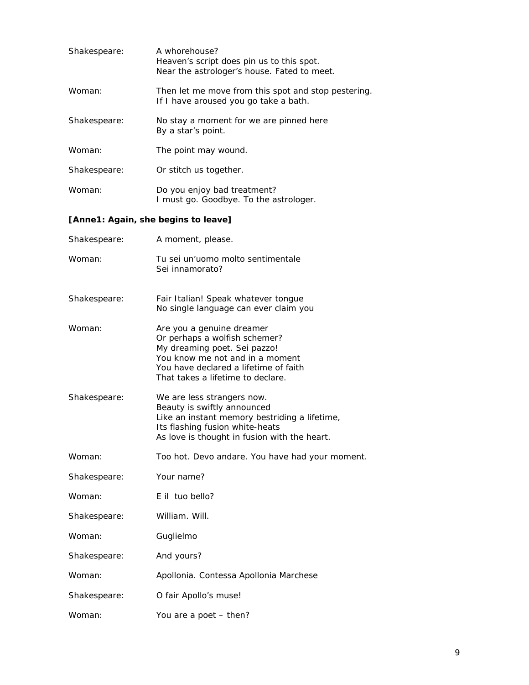| Shakespeare: | A whorehouse?<br>Heaven's script does pin us to this spot.<br>Near the astrologer's house. Fated to meet. |
|--------------|-----------------------------------------------------------------------------------------------------------|
| Woman:       | Then let me move from this spot and stop pestering.<br>If I have aroused you go take a bath.              |
| Shakespeare: | No stay a moment for we are pinned here<br>By a star's point.                                             |
| Woman:       | The point may wound.                                                                                      |
| Shakespeare: | Or stitch us together.                                                                                    |
| Woman:       | Do you enjoy bad treatment?<br>I must go. Goodbye. To the astrologer.                                     |

#### *[Anne1: Again, she begins to leave]*

| Shakespeare: | A moment, please.                                                                                                                                                                                           |
|--------------|-------------------------------------------------------------------------------------------------------------------------------------------------------------------------------------------------------------|
| Woman:       | Tu sei un'uomo molto sentimentale<br>Sei innamorato?                                                                                                                                                        |
| Shakespeare: | Fair Italian! Speak whatever tongue<br>No single language can ever claim you                                                                                                                                |
| Woman:       | Are you a genuine dreamer<br>Or perhaps a wolfish schemer?<br>My dreaming poet. Sei pazzo!<br>You know me not and in a moment<br>You have declared a lifetime of faith<br>That takes a lifetime to declare. |
| Shakespeare: | We are less strangers now.<br>Beauty is swiftly announced<br>Like an instant memory bestriding a lifetime,<br>Its flashing fusion white-heats<br>As love is thought in fusion with the heart.               |
| Woman:       | Too hot. Devo andare. You have had your moment.                                                                                                                                                             |
| Shakespeare: | Your name?                                                                                                                                                                                                  |
| Woman:       | E il tuo bello?                                                                                                                                                                                             |
| Shakespeare: | William. Will.                                                                                                                                                                                              |
| Woman:       | Guglielmo                                                                                                                                                                                                   |
| Shakespeare: | And yours?                                                                                                                                                                                                  |
| Woman:       | Apollonia. Contessa Apollonia Marchese                                                                                                                                                                      |
| Shakespeare: | O fair Apollo's muse!                                                                                                                                                                                       |
| Woman:       | You are a poet - then?                                                                                                                                                                                      |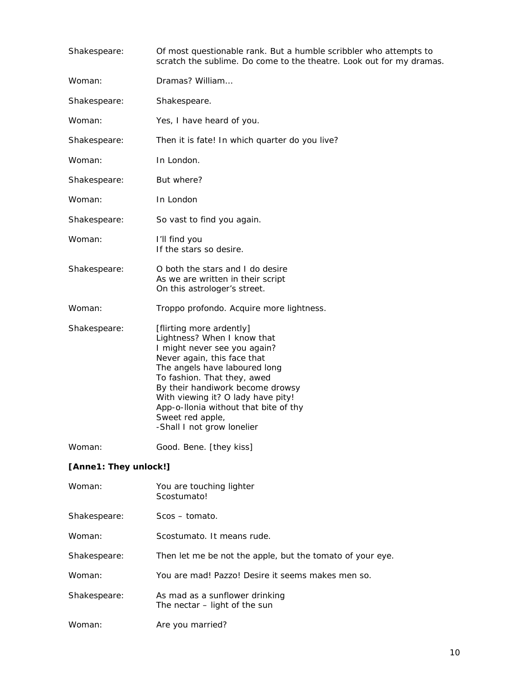| Shakespeare:          | Of most questionable rank. But a humble scribbler who attempts to<br>scratch the sublime. Do come to the theatre. Look out for my dramas.                                                                                                                                                                                                                   |  |
|-----------------------|-------------------------------------------------------------------------------------------------------------------------------------------------------------------------------------------------------------------------------------------------------------------------------------------------------------------------------------------------------------|--|
| Woman:                | Dramas? William                                                                                                                                                                                                                                                                                                                                             |  |
| Shakespeare:          | Shakespeare.                                                                                                                                                                                                                                                                                                                                                |  |
| Woman:                | Yes, I have heard of you.                                                                                                                                                                                                                                                                                                                                   |  |
| Shakespeare:          | Then it is fate! In which quarter do you live?                                                                                                                                                                                                                                                                                                              |  |
| Woman:                | In London.                                                                                                                                                                                                                                                                                                                                                  |  |
| Shakespeare:          | But where?                                                                                                                                                                                                                                                                                                                                                  |  |
| Woman:                | In London                                                                                                                                                                                                                                                                                                                                                   |  |
| Shakespeare:          | So vast to find you again.                                                                                                                                                                                                                                                                                                                                  |  |
| Woman:                | I'll find you<br>If the stars so desire.                                                                                                                                                                                                                                                                                                                    |  |
| Shakespeare:          | O both the stars and I do desire<br>As we are written in their script<br>On this astrologer's street.                                                                                                                                                                                                                                                       |  |
| Woman:                | Troppo profondo. Acquire more lightness.                                                                                                                                                                                                                                                                                                                    |  |
| Shakespeare:          | [flirting more ardently]<br>Lightness? When I know that<br>I might never see you again?<br>Never again, this face that<br>The angels have laboured long<br>To fashion. That they, awed<br>By their handiwork become drowsy<br>With viewing it? O lady have pity!<br>App-o-Ilonia without that bite of thy<br>Sweet red apple,<br>-Shall I not grow lonelier |  |
| Woman:                | Good. Bene. [they kiss]                                                                                                                                                                                                                                                                                                                                     |  |
| [Anne1: They unlock!] |                                                                                                                                                                                                                                                                                                                                                             |  |
| Woman:                | You are touching lighter<br>Scostumato!                                                                                                                                                                                                                                                                                                                     |  |
| Shakespeare:          | Scos - tomato.                                                                                                                                                                                                                                                                                                                                              |  |
| Woman:                | Scostumato. It means rude.                                                                                                                                                                                                                                                                                                                                  |  |
| Shakespeare:          | Then let me be not the apple, but the tomato of your eye.                                                                                                                                                                                                                                                                                                   |  |
| Woman:                | You are mad! Pazzo! Desire it seems makes men so.                                                                                                                                                                                                                                                                                                           |  |
| Shakespeare:          | As mad as a sunflower drinking<br>The nectar - light of the sun                                                                                                                                                                                                                                                                                             |  |

Woman: Are you married?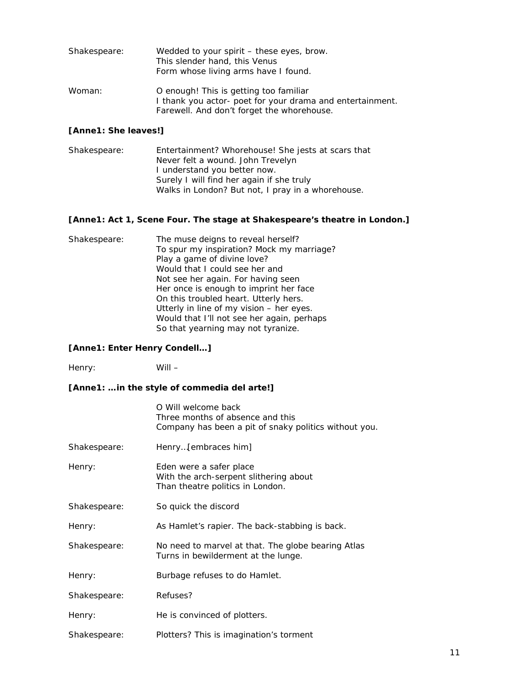| Shakespeare: | Wedded to your spirit – these eyes, brow.<br>This slender hand, this Venus<br>Form whose living arms have I found.                                |
|--------------|---------------------------------------------------------------------------------------------------------------------------------------------------|
| Woman:       | O enough! This is getting too familiar<br>I thank you actor- poet for your drama and entertainment.<br>Farewell. And don't forget the whorehouse. |

#### *[Anne1: She leaves!]*

| Shakespeare: | Entertainment? Whorehouse! She jests at scars that |
|--------------|----------------------------------------------------|
|              | Never felt a wound. John Trevelyn                  |
|              | I understand you better now.                       |
|              | Surely I will find her again if she truly          |
|              | Walks in London? But not, I pray in a whorehouse.  |

#### *[Anne1: Act 1, Scene Four. The stage at Shakespeare's theatre in London.]*

| Shakespeare: | The muse deigns to reveal herself?         |
|--------------|--------------------------------------------|
|              | To spur my inspiration? Mock my marriage?  |
|              | Play a game of divine love?                |
|              | Would that I could see her and             |
|              | Not see her again. For having seen         |
|              | Her once is enough to imprint her face     |
|              | On this troubled heart. Utterly hers.      |
|              | Utterly in line of my vision - her eyes.   |
|              | Would that I'll not see her again, perhaps |
|              | So that yearning may not tyranize.         |

#### *[Anne1: Enter Henry Condell…]*

Henry: Will –

#### *[Anne1: …in the style of commedia del arte!]*

|              | O Will welcome back<br>Three months of absence and this<br>Company has been a pit of snaky politics without you. |
|--------------|------------------------------------------------------------------------------------------------------------------|
| Shakespeare: | Henry[ <i>embraces him</i> ]                                                                                     |
| Henry:       | Eden were a safer place<br>With the arch-serpent slithering about<br>Than theatre politics in London.            |
| Shakespeare: | So quick the discord                                                                                             |
| Henry:       | As Hamlet's rapier. The back-stabbing is back.                                                                   |
| Shakespeare: | No need to marvel at that. The globe bearing Atlas<br>Turns in bewilderment at the lunge.                        |
| Henry:       | Burbage refuses to do Hamlet.                                                                                    |
| Shakespeare: | Refuses?                                                                                                         |
| Henry:       | He is convinced of plotters.                                                                                     |
| Shakespeare: | Plotters? This is imagination's torment                                                                          |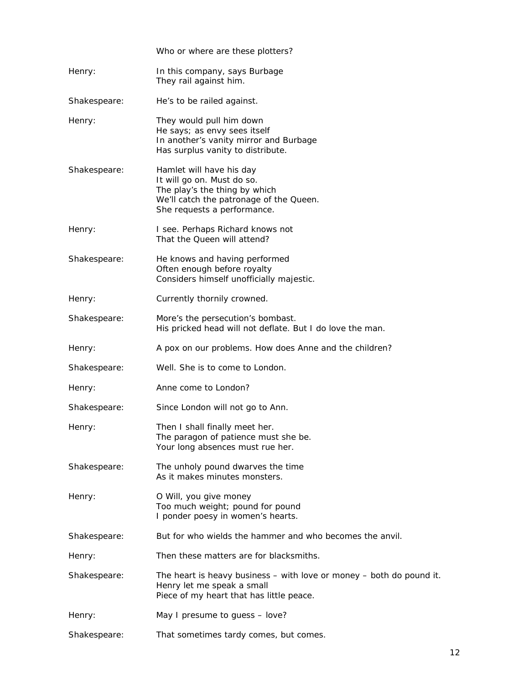|              | Who or where are these plotters?                                                                                                                                  |
|--------------|-------------------------------------------------------------------------------------------------------------------------------------------------------------------|
| Henry:       | In this company, says Burbage<br>They rail against him.                                                                                                           |
| Shakespeare: | He's to be railed against.                                                                                                                                        |
| Henry:       | They would pull him down<br>He says; as envy sees itself<br>In another's vanity mirror and Burbage<br>Has surplus vanity to distribute.                           |
| Shakespeare: | Hamlet will have his day<br>It will go on. Must do so.<br>The play's the thing by which<br>We'll catch the patronage of the Queen.<br>She requests a performance. |
| Henry:       | I see. Perhaps Richard knows not<br>That the Queen will attend?                                                                                                   |
| Shakespeare: | He knows and having performed<br>Often enough before royalty<br>Considers himself unofficially majestic.                                                          |
| Henry:       | Currently thornily crowned.                                                                                                                                       |
| Shakespeare: | More's the persecution's bombast.<br>His pricked head will not deflate. But I do love the man.                                                                    |
| Henry:       | A pox on our problems. How does Anne and the children?                                                                                                            |
| Shakespeare: | Well. She is to come to London.                                                                                                                                   |
| Henry:       | Anne come to London?                                                                                                                                              |
| Shakespeare: | Since London will not go to Ann.                                                                                                                                  |
| Henry:       | Then I shall finally meet her.<br>The paragon of patience must she be.<br>Your long absences must rue her.                                                        |
| Shakespeare: | The unholy pound dwarves the time<br>As it makes minutes monsters.                                                                                                |
| Henry:       | O Will, you give money<br>Too much weight; pound for pound<br>I ponder poesy in women's hearts.                                                                   |
| Shakespeare: | But for who wields the hammer and who becomes the anvil.                                                                                                          |
| Henry:       | Then these matters are for blacksmiths.                                                                                                                           |
| Shakespeare: | The heart is heavy business $-$ with love or money $-$ both do pound it.<br>Henry let me speak a small<br>Piece of my heart that has little peace.                |
| Henry:       | May I presume to guess - love?                                                                                                                                    |
| Shakespeare: | That sometimes tardy comes, but comes.                                                                                                                            |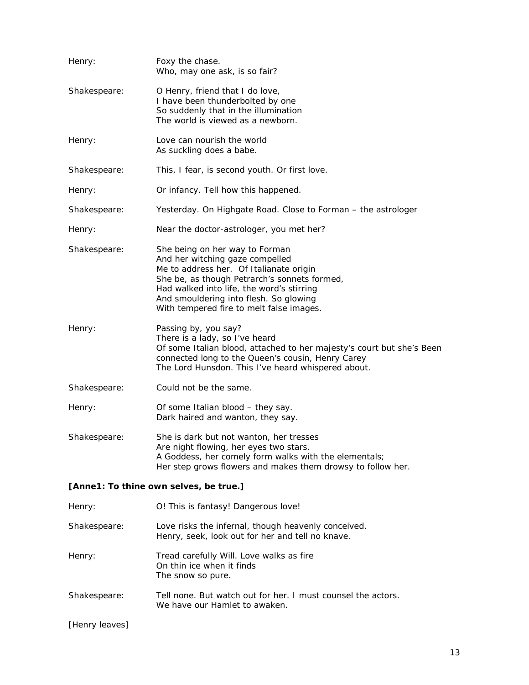| Henry:                                 | Foxy the chase.<br>Who, may one ask, is so fair?                                                                                                                                                                                                                                                |  |
|----------------------------------------|-------------------------------------------------------------------------------------------------------------------------------------------------------------------------------------------------------------------------------------------------------------------------------------------------|--|
| Shakespeare:                           | O Henry, friend that I do love,<br>I have been thunderbolted by one<br>So suddenly that in the illumination<br>The world is viewed as a newborn.                                                                                                                                                |  |
| Henry:                                 | Love can nourish the world<br>As suckling does a babe.                                                                                                                                                                                                                                          |  |
| Shakespeare:                           | This, I fear, is second youth. Or first love.                                                                                                                                                                                                                                                   |  |
| Henry:                                 | Or infancy. Tell how this happened.                                                                                                                                                                                                                                                             |  |
| Shakespeare:                           | Yesterday. On Highgate Road. Close to Forman - the astrologer                                                                                                                                                                                                                                   |  |
| Henry:                                 | Near the doctor-astrologer, you met her?                                                                                                                                                                                                                                                        |  |
| Shakespeare:                           | She being on her way to Forman<br>And her witching gaze compelled<br>Me to address her. Of Italianate origin<br>She be, as though Petrarch's sonnets formed,<br>Had walked into life, the word's stirring<br>And smouldering into flesh. So glowing<br>With tempered fire to melt false images. |  |
| Henry:                                 | Passing by, you say?<br>There is a lady, so I've heard<br>Of some Italian blood, attached to her majesty's court but she's Been<br>connected long to the Queen's cousin, Henry Carey<br>The Lord Hunsdon. This I've heard whispered about.                                                      |  |
| Shakespeare:                           | Could not be the same.                                                                                                                                                                                                                                                                          |  |
| Henry:                                 | Of some Italian blood - they say.<br>Dark haired and wanton, they say.                                                                                                                                                                                                                          |  |
| Shakespeare:                           | She is dark but not wanton, her tresses<br>Are night flowing, her eyes two stars.<br>A Goddess, her comely form walks with the elementals;<br>Her step grows flowers and makes them drowsy to follow her.                                                                                       |  |
| [Anne1: To thine own selves, be true.] |                                                                                                                                                                                                                                                                                                 |  |
| Henry:                                 | O! This is fantasy! Dangerous love!                                                                                                                                                                                                                                                             |  |
| Shakespeare:                           | Love risks the infernal, though heavenly conceived.<br>Henry, seek, look out for her and tell no knave.                                                                                                                                                                                         |  |
| Henry:                                 | Tread carefully Will. Love walks as fire<br>On thin ice when it finds<br>The snow so pure.                                                                                                                                                                                                      |  |
| Shakespeare:                           | Tell none. But watch out for her. I must counsel the actors.<br>We have our Hamlet to awaken.                                                                                                                                                                                                   |  |
| [Henry leaves]                         |                                                                                                                                                                                                                                                                                                 |  |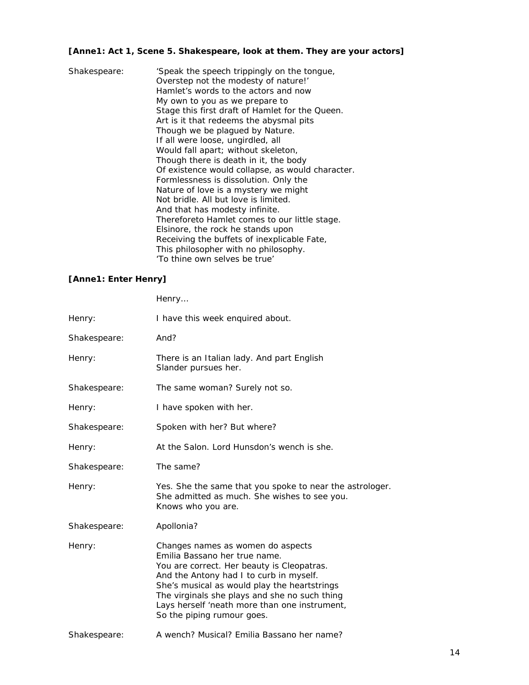#### *[Anne1: Act 1, Scene 5. Shakespeare, look at them. They are your actors]*

| Shakespeare: | 'Speak the speech trippingly on the tongue,<br>Overstep not the modesty of nature!' |
|--------------|-------------------------------------------------------------------------------------|
|              | Hamlet's words to the actors and now                                                |
|              | My own to you as we prepare to                                                      |
|              | Stage this first draft of Hamlet for the Queen.                                     |
|              | Art is it that redeems the abysmal pits                                             |
|              | Though we be plagued by Nature.                                                     |
|              | If all were loose, ungirdled, all                                                   |
|              | Would fall apart; without skeleton,                                                 |
|              | Though there is death in it, the body                                               |
|              | Of existence would collapse, as would character.                                    |
|              | Formlessness is dissolution. Only the                                               |
|              | Nature of love is a mystery we might                                                |
|              | Not bridle. All but love is limited.                                                |
|              | And that has modesty infinite.                                                      |
|              | Thereforeto Hamlet comes to our little stage.                                       |
|              | Elsinore, the rock he stands upon                                                   |
|              | Receiving the buffets of inexplicable Fate,                                         |
|              | This philosopher with no philosophy.                                                |
|              | 'To thine own selves be true'                                                       |

#### *[Anne1: Enter Henry]*

Henry…

| Henry:       | I have this week enquired about.                                                                                                                                                                                                                                                                                                            |
|--------------|---------------------------------------------------------------------------------------------------------------------------------------------------------------------------------------------------------------------------------------------------------------------------------------------------------------------------------------------|
| Shakespeare: | And?                                                                                                                                                                                                                                                                                                                                        |
| Henry:       | There is an Italian lady. And part English<br>Slander pursues her.                                                                                                                                                                                                                                                                          |
| Shakespeare: | The same woman? Surely not so.                                                                                                                                                                                                                                                                                                              |
| Henry:       | I have spoken with her.                                                                                                                                                                                                                                                                                                                     |
| Shakespeare: | Spoken with her? But where?                                                                                                                                                                                                                                                                                                                 |
| Henry:       | At the Salon. Lord Hunsdon's wench is she.                                                                                                                                                                                                                                                                                                  |
| Shakespeare: | The same?                                                                                                                                                                                                                                                                                                                                   |
| Henry:       | Yes. She the same that you spoke to near the astrologer.<br>She admitted as much. She wishes to see you.<br>Knows who you are.                                                                                                                                                                                                              |
| Shakespeare: | Apollonia?                                                                                                                                                                                                                                                                                                                                  |
| Henry:       | Changes names as women do aspects<br>Emilia Bassano her true name.<br>You are correct. Her beauty is Cleopatras.<br>And the Antony had I to curb in myself.<br>She's musical as would play the heartstrings<br>The virginals she plays and she no such thing<br>Lays herself 'neath more than one instrument,<br>So the piping rumour goes. |
| Shakespeare: | A wench? Musical? Emilia Bassano her name?                                                                                                                                                                                                                                                                                                  |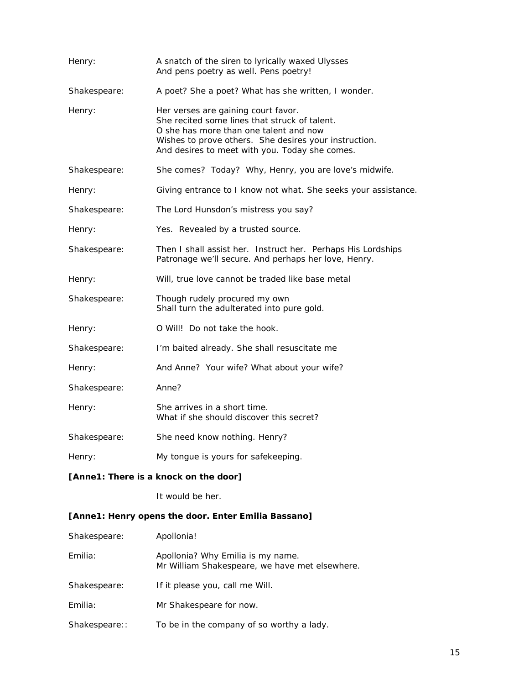| Henry:       | A snatch of the siren to lyrically waxed Ulysses<br>And pens poetry as well. Pens poetry!                                                                                                                                                 |
|--------------|-------------------------------------------------------------------------------------------------------------------------------------------------------------------------------------------------------------------------------------------|
| Shakespeare: | A poet? She a poet? What has she written, I wonder.                                                                                                                                                                                       |
| Henry:       | Her verses are gaining court favor.<br>She recited some lines that struck of talent.<br>O she has more than one talent and now<br>Wishes to prove others. She desires your instruction.<br>And desires to meet with you. Today she comes. |
| Shakespeare: | She comes? Today? Why, Henry, you are love's midwife.                                                                                                                                                                                     |
| Henry:       | Giving entrance to I know not what. She seeks your assistance.                                                                                                                                                                            |
| Shakespeare: | The Lord Hunsdon's mistress you say?                                                                                                                                                                                                      |
| Henry:       | Yes. Revealed by a trusted source.                                                                                                                                                                                                        |
| Shakespeare: | Then I shall assist her. Instruct her. Perhaps His Lordships<br>Patronage we'll secure. And perhaps her love, Henry.                                                                                                                      |
| Henry:       | Will, true love cannot be traded like base metal                                                                                                                                                                                          |
| Shakespeare: | Though rudely procured my own<br>Shall turn the adulterated into pure gold.                                                                                                                                                               |
| Henry:       | O Will! Do not take the hook.                                                                                                                                                                                                             |
| Shakespeare: | I'm baited already. She shall resuscitate me                                                                                                                                                                                              |
| Henry:       | And Anne? Your wife? What about your wife?                                                                                                                                                                                                |
| Shakespeare: | Anne?                                                                                                                                                                                                                                     |
| Henry:       | She arrives in a short time.<br>What if she should discover this secret?                                                                                                                                                                  |
| Shakespeare: | She need know nothing. Henry?                                                                                                                                                                                                             |
| Henry:       | My tongue is yours for safekeeping.                                                                                                                                                                                                       |

#### *[Anne1: There is a knock on the door]*

It would be her.

#### *[Anne1: Henry opens the door. Enter Emilia Bassano]*

| Shakespeare:  | Apollonia!                                                                          |
|---------------|-------------------------------------------------------------------------------------|
| Emilia:       | Apollonia? Why Emilia is my name.<br>Mr William Shakespeare, we have met elsewhere. |
| Shakespeare:  | If it please you, call me Will.                                                     |
| Emilia:       | Mr Shakespeare for now.                                                             |
| Shakespeare:: | To be in the company of so worthy a lady.                                           |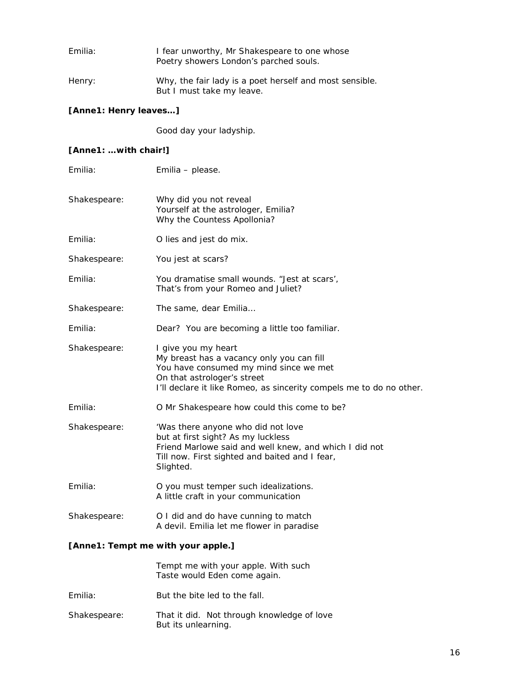| Emilia: | I fear unworthy, Mr Shakespeare to one whose<br>Poetry showers London's parched souls. |
|---------|----------------------------------------------------------------------------------------|
| Henry:  | Why, the fair lady is a poet herself and most sensible.<br>But I must take my leave.   |

#### *[Anne1: Henry leaves…]*

Good day your ladyship.

#### *[Anne1: …with chair!]*

| Emilia:      | Emilia - please.                                                                                                                                                                                                 |
|--------------|------------------------------------------------------------------------------------------------------------------------------------------------------------------------------------------------------------------|
| Shakespeare: | Why did you not reveal<br>Yourself at the astrologer, Emilia?<br>Why the Countess Apollonia?                                                                                                                     |
| Emilia:      | O lies and jest do mix.                                                                                                                                                                                          |
| Shakespeare: | You jest at scars?                                                                                                                                                                                               |
| Emilia:      | You dramatise small wounds. "Jest at scars',<br>That's from your Romeo and Juliet?                                                                                                                               |
| Shakespeare: | The same, dear Emilia                                                                                                                                                                                            |
| Emilia:      | Dear? You are becoming a little too familiar.                                                                                                                                                                    |
| Shakespeare: | I give you my heart<br>My breast has a vacancy only you can fill<br>You have consumed my mind since we met<br>On that astrologer's street<br>I'll declare it like Romeo, as sincerity compels me to do no other. |
| Emilia:      | O Mr Shakespeare how could this come to be?                                                                                                                                                                      |
| Shakespeare: | 'Was there anyone who did not love<br>but at first sight? As my luckless<br>Friend Marlowe said and well knew, and which I did not<br>Till now. First sighted and baited and I fear,<br>Slighted.                |
| Emilia:      | O you must temper such idealizations.<br>A little craft in your communication                                                                                                                                    |
| Shakespeare: | O I did and do have cunning to match<br>A devil. Emilia let me flower in paradise                                                                                                                                |
|              |                                                                                                                                                                                                                  |

#### *[Anne1: Tempt me with your apple.]*

Tempt me with your apple. With such Taste would Eden come again.

- Emilia: But the bite led to the fall.
- Shakespeare: That it did. Not through knowledge of love But its unlearning.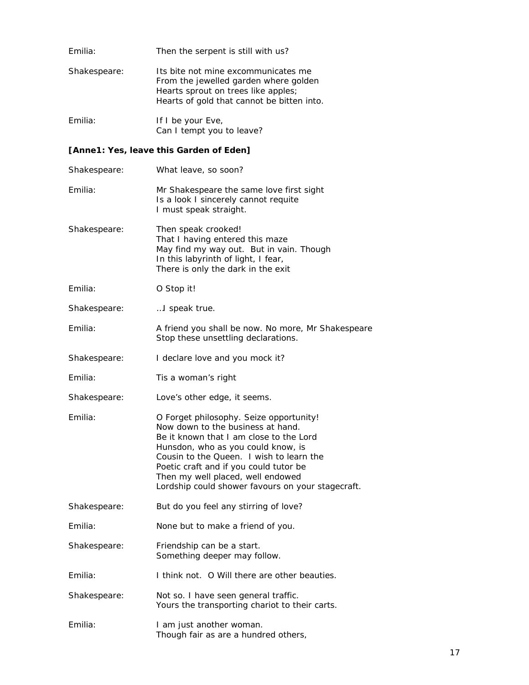| Emilia:      | Then the serpent is still with us?                                                                                                                                |
|--------------|-------------------------------------------------------------------------------------------------------------------------------------------------------------------|
| Shakespeare: | Its bite not mine excommunicates me<br>From the jewelled garden where golden<br>Hearts sprout on trees like apples;<br>Hearts of gold that cannot be bitten into. |
| Emilia:      | If I be your Eve,                                                                                                                                                 |

Can I tempt you to leave?

#### *[Anne1: Yes, leave this Garden of Eden]*

| Shakespeare: | What leave, so soon?                                                                                                                                                                                                                                                                                                                          |
|--------------|-----------------------------------------------------------------------------------------------------------------------------------------------------------------------------------------------------------------------------------------------------------------------------------------------------------------------------------------------|
| Emilia:      | Mr Shakespeare the same love first sight<br>Is a look I sincerely cannot requite<br>I must speak straight.                                                                                                                                                                                                                                    |
| Shakespeare: | Then speak crooked!<br>That I having entered this maze<br>May find my way out. But in vain. Though<br>In this labyrinth of light, I fear,<br>There is only the dark in the exit                                                                                                                                                               |
| Emilia:      | O Stop it!                                                                                                                                                                                                                                                                                                                                    |
| Shakespeare: | I speak true.                                                                                                                                                                                                                                                                                                                                 |
| Emilia:      | A friend you shall be now. No more, Mr Shakespeare<br>Stop these unsettling declarations.                                                                                                                                                                                                                                                     |
| Shakespeare: | I declare love and you mock it?                                                                                                                                                                                                                                                                                                               |
| Emilia:      | Tis a woman's right                                                                                                                                                                                                                                                                                                                           |
| Shakespeare: | Love's other edge, it seems.                                                                                                                                                                                                                                                                                                                  |
|              |                                                                                                                                                                                                                                                                                                                                               |
| Emilia:      | O Forget philosophy. Seize opportunity!<br>Now down to the business at hand.<br>Be it known that I am close to the Lord<br>Hunsdon, who as you could know, is<br>Cousin to the Queen. I wish to learn the<br>Poetic craft and if you could tutor be<br>Then my well placed, well endowed<br>Lordship could shower favours on your stagecraft. |
| Shakespeare: | But do you feel any stirring of love?                                                                                                                                                                                                                                                                                                         |
| Emilia:      | None but to make a friend of you.                                                                                                                                                                                                                                                                                                             |
| Shakespeare: | Friendship can be a start.<br>Something deeper may follow.                                                                                                                                                                                                                                                                                    |
| Emilia:      | I think not. O Will there are other beauties.                                                                                                                                                                                                                                                                                                 |
| Shakespeare: | Not so. I have seen general traffic.<br>Yours the transporting chariot to their carts.                                                                                                                                                                                                                                                        |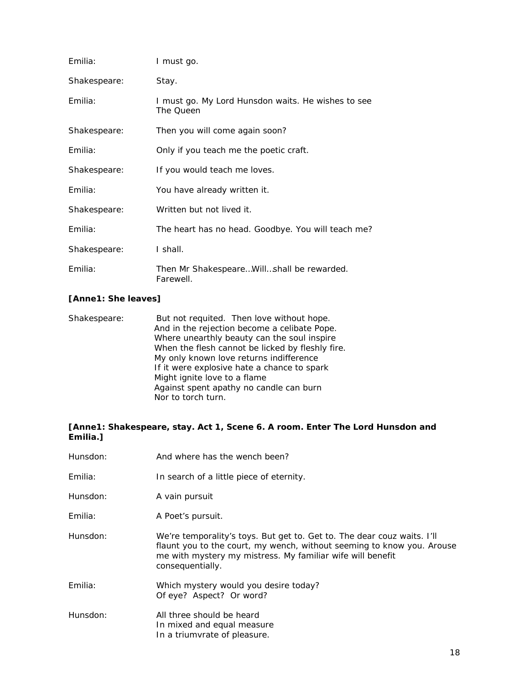| Emilia:      | I must go.                                                      |
|--------------|-----------------------------------------------------------------|
| Shakespeare: | Stay.                                                           |
| Emilia:      | I must go. My Lord Hunsdon waits. He wishes to see<br>The Queen |
| Shakespeare: | Then you will come again soon?                                  |
| Emilia:      | Only if you teach me the poetic craft.                          |
| Shakespeare: | If you would teach me loves.                                    |
| Emilia:      | You have already written it.                                    |
| Shakespeare: | Written but not lived it.                                       |
| Emilia:      | The heart has no head. Goodbye. You will teach me?              |
| Shakespeare: | I shall.                                                        |
| Emilia:      | Then Mr ShakespeareWillshall be rewarded.<br>Farewell.          |

#### *[Anne1:* **She leaves***]*

| Shakespeare: | But not requited. Then love without hope.        |
|--------------|--------------------------------------------------|
|              | And in the rejection become a celibate Pope.     |
|              | Where unearthly beauty can the soul inspire      |
|              | When the flesh cannot be licked by fleshly fire. |
|              | My only known love returns indifference          |
|              | If it were explosive hate a chance to spark      |
|              | Might ignite love to a flame                     |
|              | Against spent apathy no candle can burn          |
|              | Nor to torch turn.                               |

#### *[Anne1: Shakespeare, stay. Act 1, Scene 6. A room. Enter The Lord Hunsdon and Emilia.]*

| Hunsdon: | And where has the wench been?                                                                                                                                                                                                       |
|----------|-------------------------------------------------------------------------------------------------------------------------------------------------------------------------------------------------------------------------------------|
| Emilia:  | In search of a little piece of eternity.                                                                                                                                                                                            |
| Hunsdon: | A vain pursuit                                                                                                                                                                                                                      |
| Emilia:  | A Poet's pursuit.                                                                                                                                                                                                                   |
| Hunsdon: | We're temporality's toys. But get to. Get to. The dear couz waits. I'll<br>flaunt you to the court, my wench, without seeming to know you. Arouse<br>me with mystery my mistress. My familiar wife will benefit<br>consequentially. |
| Emilia:  | Which mystery would you desire today?<br>Of eye? Aspect? Or word?                                                                                                                                                                   |
| Hunsdon: | All three should be heard<br>In mixed and equal measure<br>In a triumvrate of pleasure.                                                                                                                                             |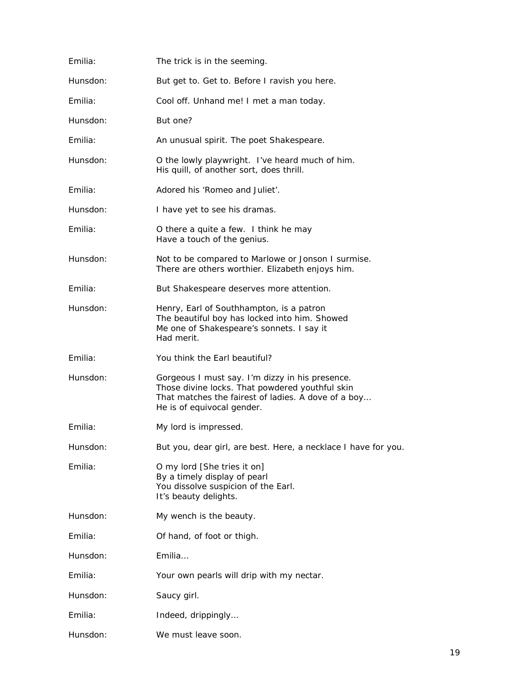| Emilia:  | The trick is in the seeming.                                                                                                                                                            |
|----------|-----------------------------------------------------------------------------------------------------------------------------------------------------------------------------------------|
| Hunsdon: | But get to. Get to. Before I ravish you here.                                                                                                                                           |
| Emilia:  | Cool off. Unhand me! I met a man today.                                                                                                                                                 |
| Hunsdon: | But one?                                                                                                                                                                                |
| Emilia:  | An unusual spirit. The poet Shakespeare.                                                                                                                                                |
| Hunsdon: | O the lowly playwright. I've heard much of him.<br>His quill, of another sort, does thrill.                                                                                             |
| Emilia:  | Adored his 'Romeo and Juliet'.                                                                                                                                                          |
| Hunsdon: | I have yet to see his dramas.                                                                                                                                                           |
| Emilia:  | O there a quite a few. I think he may<br>Have a touch of the genius.                                                                                                                    |
| Hunsdon: | Not to be compared to Marlowe or Jonson I surmise.<br>There are others worthier. Elizabeth enjoys him.                                                                                  |
| Emilia:  | But Shakespeare deserves more attention.                                                                                                                                                |
| Hunsdon: | Henry, Earl of Southhampton, is a patron<br>The beautiful boy has locked into him. Showed<br>Me one of Shakespeare's sonnets. I say it<br>Had merit.                                    |
| Emilia:  | You think the Earl beautiful?                                                                                                                                                           |
| Hunsdon: | Gorgeous I must say. I'm dizzy in his presence.<br>Those divine locks. That powdered youthful skin<br>That matches the fairest of ladies. A dove of a boy<br>He is of equivocal gender. |
| Emilia:  | My lord is impressed.                                                                                                                                                                   |
| Hunsdon: | But you, dear girl, are best. Here, a necklace I have for you.                                                                                                                          |
| Emilia:  | O my lord [She tries it on]<br>By a timely display of pearl<br>You dissolve suspicion of the Earl.<br>It's beauty delights.                                                             |
| Hunsdon: | My wench is the beauty.                                                                                                                                                                 |
| Emilia:  | Of hand, of foot or thigh.                                                                                                                                                              |
| Hunsdon: | Emilia                                                                                                                                                                                  |
| Emilia:  | Your own pearls will drip with my nectar.                                                                                                                                               |
| Hunsdon: | Saucy girl.                                                                                                                                                                             |
| Emilia:  | Indeed, drippingly                                                                                                                                                                      |
| Hunsdon: | We must leave soon.                                                                                                                                                                     |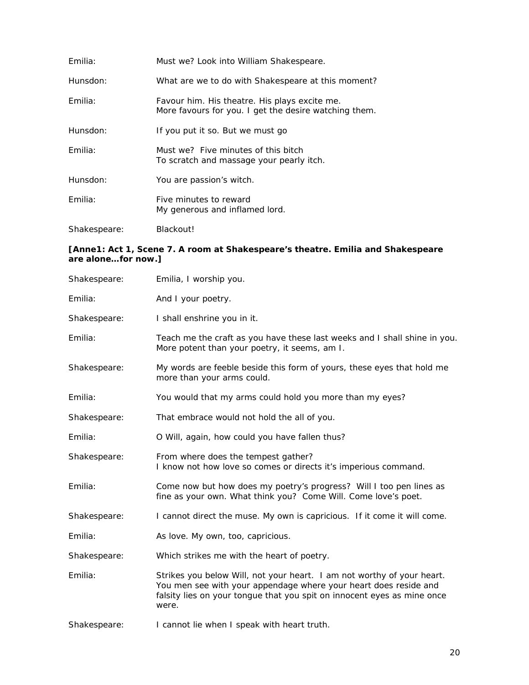| Emilia:      | Must we? Look into William Shakespeare.                                                                |
|--------------|--------------------------------------------------------------------------------------------------------|
| Hunsdon:     | What are we to do with Shakespeare at this moment?                                                     |
| Emilia:      | Favour him. His theatre. His plays excite me.<br>More favours for you. I get the desire watching them. |
| Hunsdon:     | If you put it so. But we must go                                                                       |
| Emilia:      | Must we? Five minutes of this bitch<br>To scratch and massage your pearly itch.                        |
| Hunsdon:     | You are passion's witch.                                                                               |
| Emilia:      | Five minutes to reward<br>My generous and inflamed lord.                                               |
| Shakespeare: | Blackout!                                                                                              |

#### *[Anne1: Act 1, Scene 7. A room at Shakespeare's theatre. Emilia and Shakespeare are alone…for now.]*

| Shakespeare: | Emilia, I worship you.                                                                                                                                                                                                         |
|--------------|--------------------------------------------------------------------------------------------------------------------------------------------------------------------------------------------------------------------------------|
| Emilia:      | And I your poetry.                                                                                                                                                                                                             |
| Shakespeare: | I shall enshrine you in it.                                                                                                                                                                                                    |
| Emilia:      | Teach me the craft as you have these last weeks and I shall shine in you.<br>More potent than your poetry, it seems, am I.                                                                                                     |
| Shakespeare: | My words are feeble beside this form of yours, these eyes that hold me<br>more than your arms could.                                                                                                                           |
| Emilia:      | You would that my arms could hold you more than my eyes?                                                                                                                                                                       |
| Shakespeare: | That embrace would not hold the all of you.                                                                                                                                                                                    |
| Emilia:      | O Will, again, how could you have fallen thus?                                                                                                                                                                                 |
| Shakespeare: | From where does the tempest gather?<br>I know not how love so comes or directs it's imperious command.                                                                                                                         |
| Emilia:      | Come now but how does my poetry's progress? Will I too pen lines as<br>fine as your own. What think you? Come Will. Come love's poet.                                                                                          |
| Shakespeare: | I cannot direct the muse. My own is capricious. If it come it will come.                                                                                                                                                       |
| Emilia:      | As love. My own, too, capricious.                                                                                                                                                                                              |
| Shakespeare: | Which strikes me with the heart of poetry.                                                                                                                                                                                     |
| Emilia:      | Strikes you below Will, not your heart. I am not worthy of your heart.<br>You men see with your appendage where your heart does reside and<br>falsity lies on your tongue that you spit on innocent eyes as mine once<br>were. |
| Shakespeare: | I cannot lie when I speak with heart truth.                                                                                                                                                                                    |
|              |                                                                                                                                                                                                                                |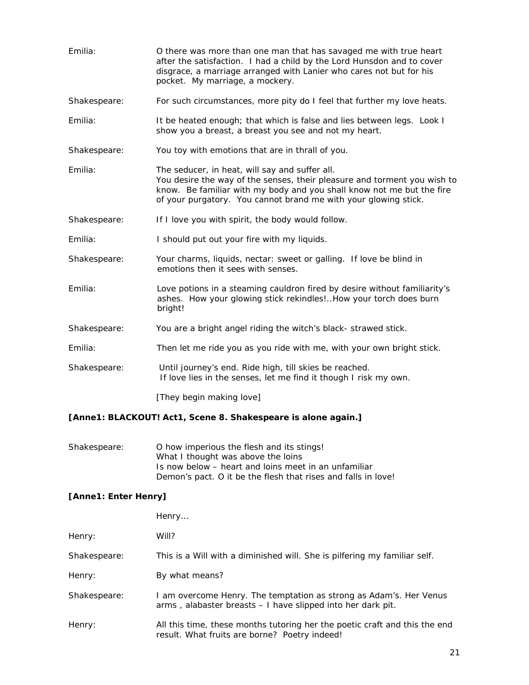| Emilia:      | O there was more than one man that has savaged me with true heart<br>after the satisfaction. I had a child by the Lord Hunsdon and to cover<br>disgrace, a marriage arranged with Lanier who cares not but for his<br>pocket. My marriage, a mockery.                  |
|--------------|------------------------------------------------------------------------------------------------------------------------------------------------------------------------------------------------------------------------------------------------------------------------|
| Shakespeare: | For such circumstances, more pity do I feel that further my love heats.                                                                                                                                                                                                |
| Emilia:      | It be heated enough; that which is false and lies between legs. Look I<br>show you a breast, a breast you see and not my heart.                                                                                                                                        |
| Shakespeare: | You toy with emotions that are in thrall of you.                                                                                                                                                                                                                       |
| Emilia:      | The seducer, in heat, will say and suffer all.<br>You desire the way of the senses, their pleasure and torment you wish to<br>know. Be familiar with my body and you shall know not me but the fire<br>of your purgatory. You cannot brand me with your glowing stick. |
| Shakespeare: | If I love you with spirit, the body would follow.                                                                                                                                                                                                                      |
| Emilia:      | I should put out your fire with my liquids.                                                                                                                                                                                                                            |
| Shakespeare: | Your charms, liquids, nectar: sweet or galling. If love be blind in<br>emotions then it sees with senses.                                                                                                                                                              |
| Emilia:      | Love potions in a steaming cauldron fired by desire without familiarity's<br>ashes. How your glowing stick rekindles!How your torch does burn<br>bright!                                                                                                               |
| Shakespeare: | You are a bright angel riding the witch's black-strawed stick.                                                                                                                                                                                                         |
| Emilia:      | Then let me ride you as you ride with me, with your own bright stick.                                                                                                                                                                                                  |
| Shakespeare: | Until journey's end. Ride high, till skies be reached.<br>If love lies in the senses, let me find it though I risk my own.                                                                                                                                             |
|              | FTL  L      7                                                                                                                                                                                                                                                          |

*[They begin making love]* 

#### *[Anne1: BLACKOUT! Act1, Scene 8. Shakespeare is alone again.]*

| Shakespeare: | O how imperious the flesh and its stings!                     |
|--------------|---------------------------------------------------------------|
|              | What I thought was above the loins                            |
|              | Is now below – heart and loins meet in an unfamiliar          |
|              | Demon's pact. O it be the flesh that rises and falls in love! |

#### *[Anne1: Enter Henry]*

|              | Henry                                                                                                                             |
|--------------|-----------------------------------------------------------------------------------------------------------------------------------|
| Henry:       | Will?                                                                                                                             |
| Shakespeare: | This is a Will with a diminished will. She is pilfering my familiar self.                                                         |
| Henry:       | By what means?                                                                                                                    |
| Shakespeare: | I am overcome Henry. The temptation as strong as Adam's. Her Venus<br>arms, alabaster breasts - I have slipped into her dark pit. |
| Henry:       | All this time, these months tutoring her the poetic craft and this the end<br>result. What fruits are borne? Poetry indeed!       |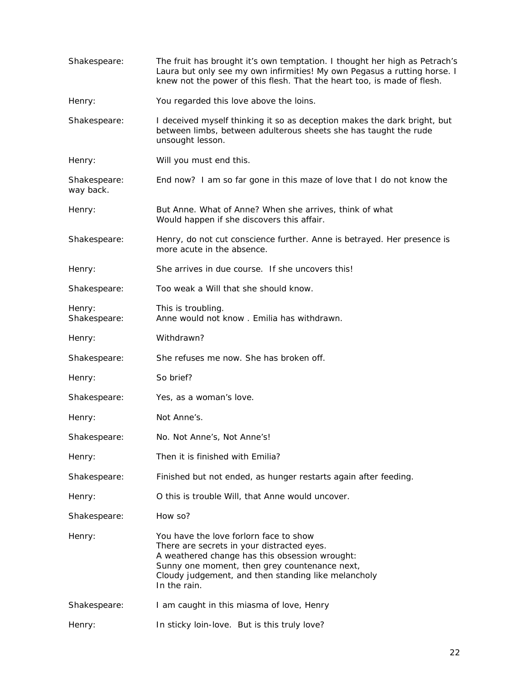| Shakespeare:              | The fruit has brought it's own temptation. I thought her high as Petrach's<br>Laura but only see my own infirmities! My own Pegasus a rutting horse. I<br>knew not the power of this flesh. That the heart too, is made of flesh.                              |
|---------------------------|----------------------------------------------------------------------------------------------------------------------------------------------------------------------------------------------------------------------------------------------------------------|
| Henry:                    | You regarded this love above the loins.                                                                                                                                                                                                                        |
| Shakespeare:              | I deceived myself thinking it so as deception makes the dark bright, but<br>between limbs, between adulterous sheets she has taught the rude<br>unsought lesson.                                                                                               |
| Henry:                    | Will you must end this.                                                                                                                                                                                                                                        |
| Shakespeare:<br>way back. | End now? I am so far gone in this maze of love that I do not know the                                                                                                                                                                                          |
| Henry:                    | But Anne. What of Anne? When she arrives, think of what<br>Would happen if she discovers this affair.                                                                                                                                                          |
| Shakespeare:              | Henry, do not cut conscience further. Anne is betrayed. Her presence is<br>more acute in the absence.                                                                                                                                                          |
| Henry:                    | She arrives in due course. If she uncovers this!                                                                                                                                                                                                               |
| Shakespeare:              | Too weak a Will that she should know.                                                                                                                                                                                                                          |
| Henry:<br>Shakespeare:    | This is troubling.<br>Anne would not know. Emilia has withdrawn.                                                                                                                                                                                               |
| Henry:                    | Withdrawn?                                                                                                                                                                                                                                                     |
| Shakespeare:              | She refuses me now. She has broken off.                                                                                                                                                                                                                        |
| Henry:                    | So brief?                                                                                                                                                                                                                                                      |
| Shakespeare:              | Yes, as a woman's love.                                                                                                                                                                                                                                        |
| Henry:                    | Not Anne's.                                                                                                                                                                                                                                                    |
| Shakespeare:              | No. Not Anne's, Not Anne's!                                                                                                                                                                                                                                    |
| Henry:                    | Then it is finished with Emilia?                                                                                                                                                                                                                               |
| Shakespeare:              | Finished but not ended, as hunger restarts again after feeding.                                                                                                                                                                                                |
| Henry:                    | O this is trouble Will, that Anne would uncover.                                                                                                                                                                                                               |
| Shakespeare:              | How so?                                                                                                                                                                                                                                                        |
| Henry:                    | You have the love forlorn face to show<br>There are secrets in your distracted eyes.<br>A weathered change has this obsession wrought:<br>Sunny one moment, then grey countenance next,<br>Cloudy judgement, and then standing like melancholy<br>In the rain. |
| Shakespeare:              | I am caught in this miasma of love, Henry                                                                                                                                                                                                                      |
| Henry:                    | In sticky loin-love. But is this truly love?                                                                                                                                                                                                                   |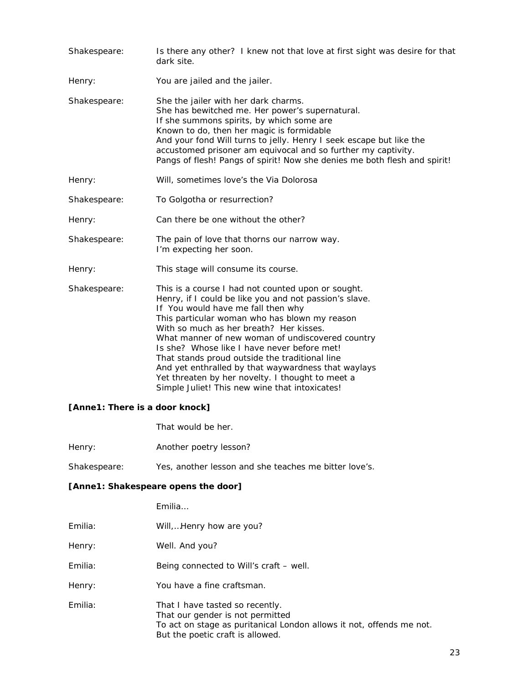| Shakespeare: | Is there any other? I knew not that love at first sight was desire for that<br>dark site.                                                                                                                                                                                                                                                                                                                                                                                                                                                                        |
|--------------|------------------------------------------------------------------------------------------------------------------------------------------------------------------------------------------------------------------------------------------------------------------------------------------------------------------------------------------------------------------------------------------------------------------------------------------------------------------------------------------------------------------------------------------------------------------|
| Henry:       | You are jailed and the jailer.                                                                                                                                                                                                                                                                                                                                                                                                                                                                                                                                   |
| Shakespeare: | She the jailer with her dark charms.<br>She has bewitched me. Her power's supernatural.<br>If she summons spirits, by which some are<br>Known to do, then her magic is formidable<br>And your fond Will turns to jelly. Henry I seek escape but like the<br>accustomed prisoner am equivocal and so further my captivity.<br>Pangs of flesh! Pangs of spirit! Now she denies me both flesh and spirit!                                                                                                                                                           |
| Henry:       | Will, sometimes love's the Via Dolorosa                                                                                                                                                                                                                                                                                                                                                                                                                                                                                                                          |
| Shakespeare: | To Golgotha or resurrection?                                                                                                                                                                                                                                                                                                                                                                                                                                                                                                                                     |
| Henry:       | Can there be one without the other?                                                                                                                                                                                                                                                                                                                                                                                                                                                                                                                              |
| Shakespeare: | The pain of love that thorns our narrow way.<br>I'm expecting her soon.                                                                                                                                                                                                                                                                                                                                                                                                                                                                                          |
| Henry:       | This stage will consume its course.                                                                                                                                                                                                                                                                                                                                                                                                                                                                                                                              |
| Shakespeare: | This is a course I had not counted upon or sought.<br>Henry, if I could be like you and not passion's slave.<br>If You would have me fall then why<br>This particular woman who has blown my reason<br>With so much as her breath? Her kisses.<br>What manner of new woman of undiscovered country<br>Is she? Whose like I have never before met!<br>That stands proud outside the traditional line<br>And yet enthralled by that waywardness that waylays<br>Yet threaten by her novelty. I thought to meet a<br>Simple Juliet! This new wine that intoxicates! |

#### *[Anne1: There is a door knock]*

That would be her.

| Henry: | Another poetry lesson? |
|--------|------------------------|
|--------|------------------------|

Shakespeare: Yes, another lesson and she teaches me bitter love's.

#### *[Anne1: Shakespeare opens the door]*

Emilia…

| Emilia: | Will,Henry how are you?                                                                                                                                                         |
|---------|---------------------------------------------------------------------------------------------------------------------------------------------------------------------------------|
| Henry:  | Well. And you?                                                                                                                                                                  |
| Emilia: | Being connected to Will's craft – well.                                                                                                                                         |
| Henry:  | You have a fine craftsman.                                                                                                                                                      |
| Emilia: | That I have tasted so recently.<br>That our gender is not permitted<br>To act on stage as puritanical London allows it not, offends me not.<br>But the poetic craft is allowed. |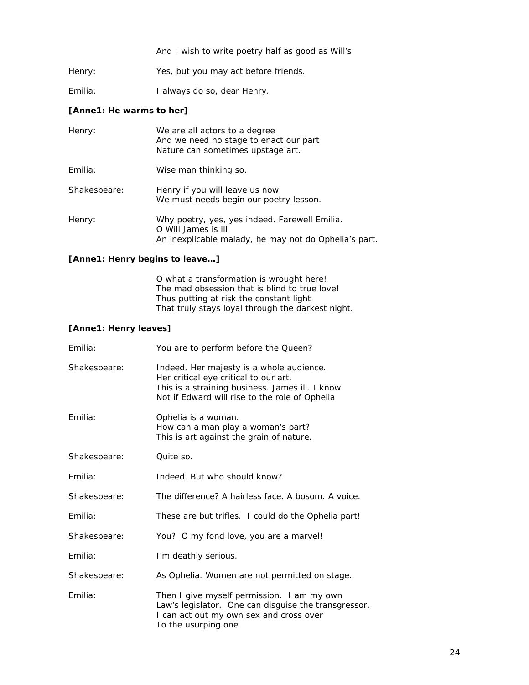And I wish to write poetry half as good as Will's

Henry: Yes, but you may act before friends.

Emilia: I always do so, dear Henry.

#### *[Anne1: He warms to her]*

| Henry:       | We are all actors to a degree<br>And we need no stage to enact our part<br>Nature can sometimes upstage art.                  |
|--------------|-------------------------------------------------------------------------------------------------------------------------------|
| Emilia:      | Wise man thinking so.                                                                                                         |
| Shakespeare: | Henry if you will leave us now.<br>We must needs begin our poetry lesson.                                                     |
| Henry:       | Why poetry, yes, yes indeed. Farewell Emilia.<br>O Will James is ill<br>An inexplicable malady, he may not do Ophelia's part. |

#### *[Anne1: Henry begins to leave…]*

O what a transformation is wrought here! The mad obsession that is blind to true love! Thus putting at risk the constant light That truly stays loyal through the darkest night.

#### *[Anne1: Henry leaves]*

| Emilia:      | You are to perform before the Queen?                                                                                                                                                   |
|--------------|----------------------------------------------------------------------------------------------------------------------------------------------------------------------------------------|
| Shakespeare: | Indeed. Her majesty is a whole audience.<br>Her critical eye critical to our art.<br>This is a straining business. James ill. I know<br>Not if Edward will rise to the role of Ophelia |
| Emilia:      | Ophelia is a woman.<br>How can a man play a woman's part?<br>This is art against the grain of nature.                                                                                  |
| Shakespeare: | Quite so.                                                                                                                                                                              |
| Emilia:      | Indeed. But who should know?                                                                                                                                                           |
| Shakespeare: | The difference? A hairless face. A bosom. A voice.                                                                                                                                     |
| Emilia:      | These are but trifles. I could do the Ophelia part!                                                                                                                                    |
| Shakespeare: | You? O my fond love, you are a marvel!                                                                                                                                                 |
| Emilia:      | I'm deathly serious.                                                                                                                                                                   |
| Shakespeare: | As Ophelia. Women are not permitted on stage.                                                                                                                                          |
| Emilia:      | Then I give myself permission. I am my own<br>Law's legislator. One can disguise the transgressor.<br>I can act out my own sex and cross over<br>To the usurping one                   |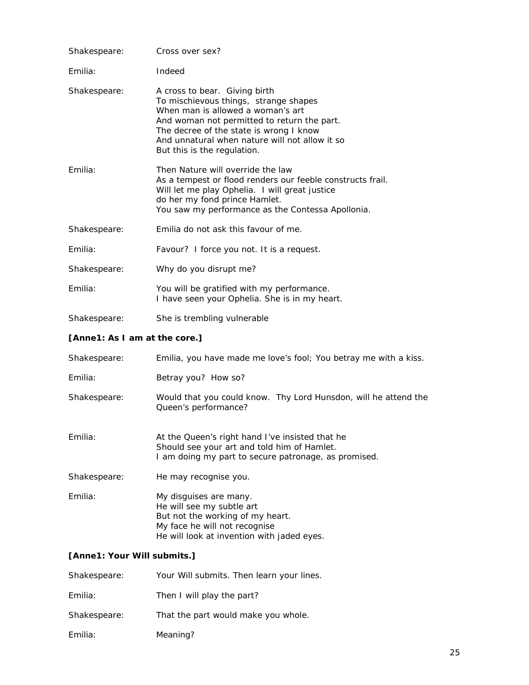| Shakespeare: | Cross over sex?                                                                                                                                                                                                                                                                        |
|--------------|----------------------------------------------------------------------------------------------------------------------------------------------------------------------------------------------------------------------------------------------------------------------------------------|
| Emilia:      | Indeed                                                                                                                                                                                                                                                                                 |
| Shakespeare: | A cross to bear. Giving birth<br>To mischievous things, strange shapes<br>When man is allowed a woman's art<br>And woman not permitted to return the part.<br>The decree of the state is wrong I know<br>And unnatural when nature will not allow it so<br>But this is the regulation. |
| Emilia:      | Then Nature will override the law<br>As a tempest or flood renders our feeble constructs frail.<br>Will let me play Ophelia. I will great justice<br>do her my fond prince Hamlet.<br>You saw my performance as the Contessa Apollonia.                                                |
| Shakespeare: | Emilia do not ask this favour of me.                                                                                                                                                                                                                                                   |
| Emilia:      | Favour? I force you not. It is a request.                                                                                                                                                                                                                                              |
| Shakespeare: | Why do you disrupt me?                                                                                                                                                                                                                                                                 |
| Emilia:      | You will be gratified with my performance.<br>I have seen your Ophelia. She is in my heart.                                                                                                                                                                                            |
| Shakespeare: | She is trembling vulnerable                                                                                                                                                                                                                                                            |

#### *[Anne1: As I am at the core.]*

| Shakespeare: | Emilia, you have made me love's fool; You betray me with a kiss.                                                                                                       |
|--------------|------------------------------------------------------------------------------------------------------------------------------------------------------------------------|
| Emilia:      | Betray you? How so?                                                                                                                                                    |
| Shakespeare: | Would that you could know. Thy Lord Hunsdon, will he attend the<br>Queen's performance?                                                                                |
| Emilia:      | At the Queen's right hand I've insisted that he<br>Should see your art and told him of Hamlet.<br>I am doing my part to secure patronage, as promised.                 |
| Shakespeare: | He may recognise you.                                                                                                                                                  |
| Emilia:      | My disquises are many.<br>He will see my subtle art<br>But not the working of my heart.<br>My face he will not recognise<br>He will look at invention with jaded eyes. |

#### *[Anne1: Your Will submits.]*

| Shakespeare: | Your Will submits. Then learn your lines. |
|--------------|-------------------------------------------|
| Emilia:      | Then I will play the part?                |
| Shakespeare: | That the part would make you whole.       |
| Emilia:      | Meaning?                                  |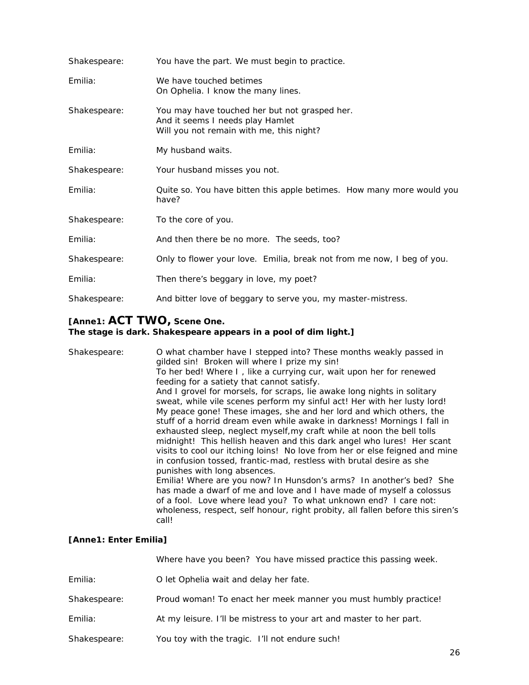| Shakespeare: | You have the part. We must begin to practice.                                                                                 |
|--------------|-------------------------------------------------------------------------------------------------------------------------------|
| Emilia:      | We have touched betimes<br>On Ophelia. I know the many lines.                                                                 |
| Shakespeare: | You may have touched her but not grasped her.<br>And it seems I needs play Hamlet<br>Will you not remain with me, this night? |
| Emilia:      | My husband waits.                                                                                                             |
| Shakespeare: | Your husband misses you not.                                                                                                  |
| Emilia:      | Quite so. You have bitten this apple betimes. How many more would you<br>have?                                                |
| Shakespeare: | To the core of you.                                                                                                           |
| Emilia:      | And then there be no more. The seeds, too?                                                                                    |
| Shakespeare: | Only to flower your love. Emilia, break not from me now, I beg of you.                                                        |
| Emilia:      | Then there's beggary in love, my poet?                                                                                        |
| Shakespeare: | And bitter love of beggary to serve you, my master-mistress.                                                                  |

### *[Anne1: ACT TWO, Scene One.*

#### *The stage is dark. Shakespeare appears in a pool of dim light.]*

| Shakespeare: | O what chamber have I stepped into? These months weakly passed in<br>gilded sin! Broken will where I prize my sin! |
|--------------|--------------------------------------------------------------------------------------------------------------------|
|              | To her bed! Where I, like a currying cur, wait upon her for renewed                                                |
|              | feeding for a satiety that cannot satisfy.                                                                         |
|              | And I grovel for morsels, for scraps, lie awake long nights in solitary                                            |
|              | sweat, while vile scenes perform my sinful act! Her with her lusty lord!                                           |
|              | My peace gone! These images, she and her lord and which others, the                                                |
|              | stuff of a horrid dream even while awake in darkness! Mornings I fall in                                           |
|              | exhausted sleep, neglect myself, my craft while at noon the bell tolls                                             |
|              | midnight! This hellish heaven and this dark angel who lures! Her scant                                             |
|              | visits to cool our itching loins! No love from her or else feigned and mine                                        |
|              | in confusion tossed, frantic-mad, restless with brutal desire as she                                               |
|              | punishes with long absences.                                                                                       |
|              | Emilia! Where are you now? In Hunsdon's arms? In another's bed? She                                                |
|              | has made a dwarf of me and love and I have made of myself a colossus                                               |
|              | of a fool. Love where lead you? To what unknown end? I care not:                                                   |
|              | wholeness, respect, self honour, right probity, all fallen before this siren's                                     |
|              | call!                                                                                                              |

#### *[Anne1: Enter Emilia]*

|              | Where have you been? You have missed practice this passing week.    |
|--------------|---------------------------------------------------------------------|
| Emilia:      | O let Ophelia wait and delay her fate.                              |
| Shakespeare: | Proud woman! To enact her meek manner you must humbly practice!     |
| Emilia:      | At my leisure. I'll be mistress to your art and master to her part. |
| Shakespeare: | You toy with the tragic. I'll not endure such!                      |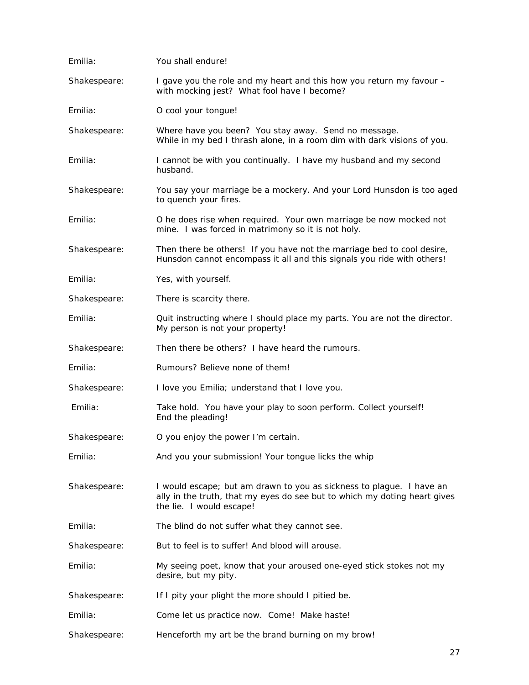| Emilia:      | You shall endure!                                                                                                                                                             |
|--------------|-------------------------------------------------------------------------------------------------------------------------------------------------------------------------------|
| Shakespeare: | I gave you the role and my heart and this how you return my favour -<br>with mocking jest? What fool have I become?                                                           |
| Emilia:      | O cool your tongue!                                                                                                                                                           |
| Shakespeare: | Where have you been? You stay away. Send no message.<br>While in my bed I thrash alone, in a room dim with dark visions of you.                                               |
| Emilia:      | I cannot be with you continually. I have my husband and my second<br>husband.                                                                                                 |
| Shakespeare: | You say your marriage be a mockery. And your Lord Hunsdon is too aged<br>to quench your fires.                                                                                |
| Emilia:      | O he does rise when required. Your own marriage be now mocked not<br>mine. I was forced in matrimony so it is not holy.                                                       |
| Shakespeare: | Then there be others! If you have not the marriage bed to cool desire,<br>Hunsdon cannot encompass it all and this signals you ride with others!                              |
| Emilia:      | Yes, with yourself.                                                                                                                                                           |
| Shakespeare: | There is scarcity there.                                                                                                                                                      |
| Emilia:      | Quit instructing where I should place my parts. You are not the director.<br>My person is not your property!                                                                  |
| Shakespeare: | Then there be others? I have heard the rumours.                                                                                                                               |
| Emilia:      | Rumours? Believe none of them!                                                                                                                                                |
| Shakespeare: | I love you Emilia; understand that I love you.                                                                                                                                |
| Emilia:      | Take hold. You have your play to soon perform. Collect yourself!<br>End the pleading!                                                                                         |
| Shakespeare: | O you enjoy the power I'm certain.                                                                                                                                            |
| Emilia:      | And you your submission! Your tongue licks the whip                                                                                                                           |
| Shakespeare: | I would escape; but am drawn to you as sickness to plague. I have an<br>ally in the truth, that my eyes do see but to which my doting heart gives<br>the lie. I would escape! |
| Emilia:      | The blind do not suffer what they cannot see.                                                                                                                                 |
| Shakespeare: | But to feel is to suffer! And blood will arouse.                                                                                                                              |
| Emilia:      | My seeing poet, know that your aroused one-eyed stick stokes not my<br>desire, but my pity.                                                                                   |
| Shakespeare: | If I pity your plight the more should I pitied be.                                                                                                                            |
| Emilia:      | Come let us practice now. Come! Make haste!                                                                                                                                   |
| Shakespeare: | Henceforth my art be the brand burning on my brow!                                                                                                                            |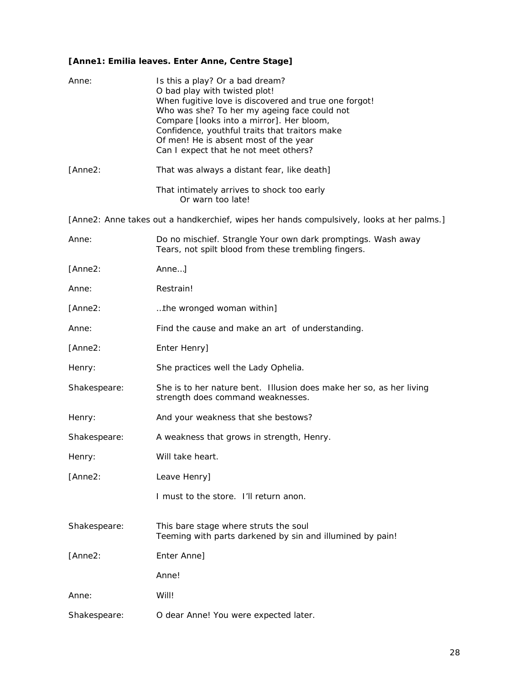#### *[Anne1: Emilia leaves. Enter Anne, Centre Stage]*

| Anne:        | Is this a play? Or a bad dream?<br>O bad play with twisted plot!<br>When fugitive love is discovered and true one forgot!<br>Who was she? To her my ageing face could not<br>Compare [looks into a mirror]. Her bloom,<br>Confidence, youthful traits that traitors make<br>Of men! He is absent most of the year<br>Can I expect that he not meet others? |
|--------------|------------------------------------------------------------------------------------------------------------------------------------------------------------------------------------------------------------------------------------------------------------------------------------------------------------------------------------------------------------|
| [Anne2:      | That was always a distant fear, like death]                                                                                                                                                                                                                                                                                                                |
|              | That intimately arrives to shock too early<br>Or warn too late!                                                                                                                                                                                                                                                                                            |
|              | [Anne2: Anne takes out a handkerchief, wipes her hands compulsively, looks at her palms.]                                                                                                                                                                                                                                                                  |
| Anne:        | Do no mischief. Strangle Your own dark promptings. Wash away<br>Tears, not spilt blood from these trembling fingers.                                                                                                                                                                                                                                       |
| [Anne2:      | Anne]                                                                                                                                                                                                                                                                                                                                                      |
| Anne:        | Restrain!                                                                                                                                                                                                                                                                                                                                                  |
| [Anne2:      | the wronged woman within]                                                                                                                                                                                                                                                                                                                                  |
| Anne:        | Find the cause and make an art of understanding.                                                                                                                                                                                                                                                                                                           |
| [Anne2:      | Enter Henry]                                                                                                                                                                                                                                                                                                                                               |
| Henry:       | She practices well the Lady Ophelia.                                                                                                                                                                                                                                                                                                                       |
| Shakespeare: | She is to her nature bent. Illusion does make her so, as her living<br>strength does command weaknesses.                                                                                                                                                                                                                                                   |
| Henry:       | And your weakness that she bestows?                                                                                                                                                                                                                                                                                                                        |
| Shakespeare: | A weakness that grows in strength, Henry.                                                                                                                                                                                                                                                                                                                  |
| Henry:       | Will take heart.                                                                                                                                                                                                                                                                                                                                           |
| [Anne2:      | Leave Henry]                                                                                                                                                                                                                                                                                                                                               |
|              | I must to the store. I'll return anon.                                                                                                                                                                                                                                                                                                                     |
| Shakespeare: | This bare stage where struts the soul<br>Teeming with parts darkened by sin and illumined by pain!                                                                                                                                                                                                                                                         |
| [Anne2:      | Enter Anne]                                                                                                                                                                                                                                                                                                                                                |
|              | Anne!                                                                                                                                                                                                                                                                                                                                                      |
| Anne:        | Will!                                                                                                                                                                                                                                                                                                                                                      |
| Shakespeare: | O dear Anne! You were expected later.                                                                                                                                                                                                                                                                                                                      |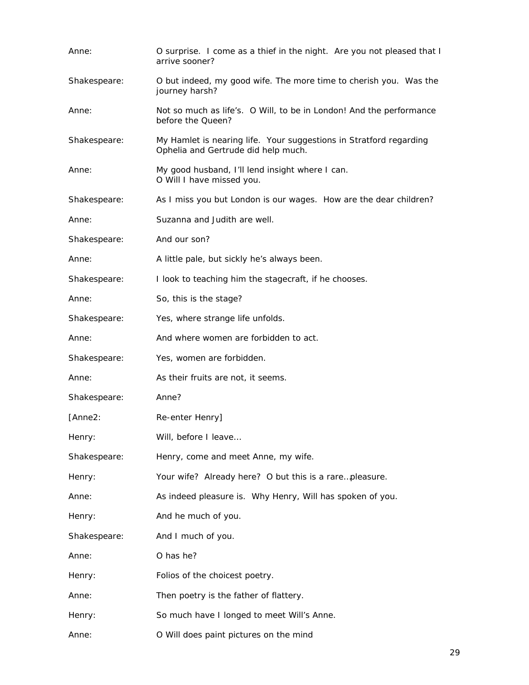| Anne:        | O surprise. I come as a thief in the night. Are you not pleased that I<br>arrive sooner?                  |
|--------------|-----------------------------------------------------------------------------------------------------------|
| Shakespeare: | O but indeed, my good wife. The more time to cherish you. Was the<br>journey harsh?                       |
| Anne:        | Not so much as life's. O Will, to be in London! And the performance<br>before the Queen?                  |
| Shakespeare: | My Hamlet is nearing life. Your suggestions in Stratford regarding<br>Ophelia and Gertrude did help much. |
| Anne:        | My good husband, I'll lend insight where I can.<br>O Will I have missed you.                              |
| Shakespeare: | As I miss you but London is our wages. How are the dear children?                                         |
| Anne:        | Suzanna and Judith are well.                                                                              |
| Shakespeare: | And our son?                                                                                              |
| Anne:        | A little pale, but sickly he's always been.                                                               |
| Shakespeare: | I look to teaching him the stagecraft, if he chooses.                                                     |
| Anne:        | So, this is the stage?                                                                                    |
| Shakespeare: | Yes, where strange life unfolds.                                                                          |
| Anne:        | And where women are forbidden to act.                                                                     |
| Shakespeare: | Yes, women are forbidden.                                                                                 |
| Anne:        | As their fruits are not, it seems.                                                                        |
| Shakespeare: | Anne?                                                                                                     |
| [Anne2:      | Re-enter Henry]                                                                                           |
| Henry:       | Will, before I leave                                                                                      |
| Shakespeare: | Henry, come and meet Anne, my wife.                                                                       |
| Henry:       | Your wife? Already here? O but this is a rarepleasure.                                                    |
| Anne:        | As indeed pleasure is. Why Henry, Will has spoken of you.                                                 |
| Henry:       | And he much of you.                                                                                       |
| Shakespeare: | And I much of you.                                                                                        |
| Anne:        | O has he?                                                                                                 |
| Henry:       | Folios of the choicest poetry.                                                                            |
| Anne:        | Then poetry is the father of flattery.                                                                    |
| Henry:       | So much have I longed to meet Will's Anne.                                                                |
| Anne:        | O Will does paint pictures on the mind                                                                    |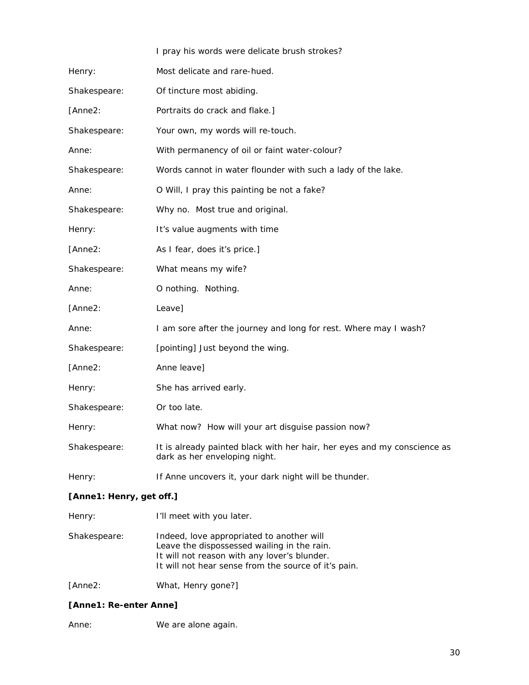|              | I pray his words were delicate brush strokes?                                                             |
|--------------|-----------------------------------------------------------------------------------------------------------|
| Henry:       | Most delicate and rare-hued.                                                                              |
| Shakespeare: | Of tincture most abiding.                                                                                 |
| [Anne2:      | Portraits do crack and flake.]                                                                            |
| Shakespeare: | Your own, my words will re-touch.                                                                         |
| Anne:        | With permanency of oil or faint water-colour?                                                             |
| Shakespeare: | Words cannot in water flounder with such a lady of the lake.                                              |
| Anne:        | O Will, I pray this painting be not a fake?                                                               |
| Shakespeare: | Why no. Most true and original.                                                                           |
| Henry:       | It's value augments with time                                                                             |
| [Anne2:      | As I fear, does it's price.]                                                                              |
| Shakespeare: | What means my wife?                                                                                       |
| Anne:        | O nothing. Nothing.                                                                                       |
| [Anne2:      | Leave]                                                                                                    |
| Anne:        | I am sore after the journey and long for rest. Where may I wash?                                          |
| Shakespeare: | [pointing] Just beyond the wing.                                                                          |
| [Anne2:      | Anne leave]                                                                                               |
| Henry:       | She has arrived early.                                                                                    |
| Shakespeare: | Or too late.                                                                                              |
| Henry:       | What now? How will your art disguise passion now?                                                         |
| Shakespeare: | It is already painted black with her hair, her eyes and my conscience as<br>dark as her enveloping night. |
| Henry:       | If Anne uncovers it, your dark night will be thunder.                                                     |
|              |                                                                                                           |

#### *[Anne1: Henry, get off.]*

| Henry:       | I'll meet with you later.                                                                                                                                                                        |
|--------------|--------------------------------------------------------------------------------------------------------------------------------------------------------------------------------------------------|
| Shakespeare: | Indeed, love appropriated to another will<br>Leave the dispossessed wailing in the rain.<br>It will not reason with any lover's blunder.<br>It will not hear sense from the source of it's pain. |
|              |                                                                                                                                                                                                  |

[Anne2: What, Henry gone?]

#### *[Anne1: Re-enter Anne]*

Anne: We are alone again.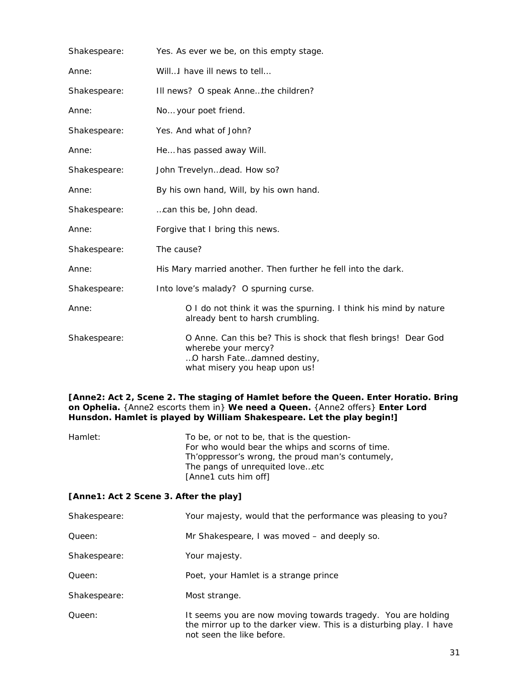| Shakespeare: | Yes. As ever we be, on this empty stage.                                                                                                              |  |
|--------------|-------------------------------------------------------------------------------------------------------------------------------------------------------|--|
| Anne:        | Will I have ill news to tell                                                                                                                          |  |
| Shakespeare: | Ill news? O speak Annethe children?                                                                                                                   |  |
| Anne:        | No your poet friend.                                                                                                                                  |  |
| Shakespeare: | Yes. And what of John?                                                                                                                                |  |
| Anne:        | He has passed away Will.                                                                                                                              |  |
| Shakespeare: | John Trevelyndead. How so?                                                                                                                            |  |
| Anne:        | By his own hand, Will, by his own hand.                                                                                                               |  |
| Shakespeare: | can this be, John dead.                                                                                                                               |  |
| Anne:        | Forgive that I bring this news.                                                                                                                       |  |
| Shakespeare: | The cause?                                                                                                                                            |  |
| Anne:        | His Mary married another. Then further he fell into the dark.                                                                                         |  |
| Shakespeare: | Into love's malady? O spurning curse.                                                                                                                 |  |
| Anne:        | O I do not think it was the spurning. I think his mind by nature<br>already bent to harsh crumbling.                                                  |  |
| Shakespeare: | O Anne. Can this be? This is shock that flesh brings! Dear God<br>wherebe your mercy?<br>O harsh Fatedamned destiny,<br>what misery you heap upon us! |  |

#### *[Anne2: Act 2, Scene 2. The staging of Hamlet before the Queen. Enter Horatio. Bring on Ophelia. {Anne2 escorts them in} We need a Queen. {Anne2 offers} Enter Lord Hunsdon. Hamlet is played by William Shakespeare. Let the play begin!]*

| Hamlet: | To be, or not to be, that is the question-       |
|---------|--------------------------------------------------|
|         | For who would bear the whips and scorns of time. |
|         | Th'oppressor's wrong, the proud man's contumely, |
|         | The pangs of unrequited loveetc                  |
|         | [Anne1 cuts him off]                             |

#### *[Anne1: Act 2 Scene 3. After the play]*

| Shakespeare: | Your majesty, would that the performance was pleasing to you?                                                                                                    |
|--------------|------------------------------------------------------------------------------------------------------------------------------------------------------------------|
| Queen:       | Mr Shakespeare, I was moved – and deeply so.                                                                                                                     |
| Shakespeare: | Your majesty.                                                                                                                                                    |
| Queen:       | Poet, your Hamlet is a strange prince                                                                                                                            |
| Shakespeare: | Most strange.                                                                                                                                                    |
| Queen:       | It seems you are now moving towards tragedy. You are holding<br>the mirror up to the darker view. This is a disturbing play. I have<br>not seen the like before. |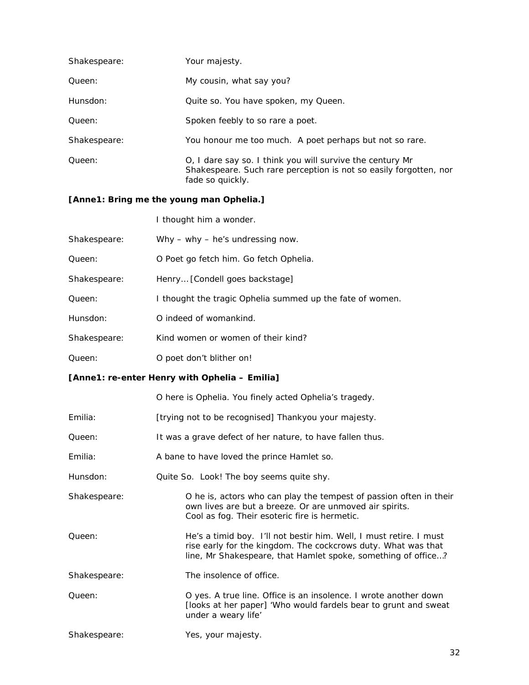| Shakespeare: | Your majesty.                                                                                                                                      |
|--------------|----------------------------------------------------------------------------------------------------------------------------------------------------|
| Queen:       | My cousin, what say you?                                                                                                                           |
| Hunsdon:     | Quite so. You have spoken, my Queen.                                                                                                               |
| Queen:       | Spoken feebly to so rare a poet.                                                                                                                   |
| Shakespeare: | You honour me too much. A poet perhaps but not so rare.                                                                                            |
| Queen:       | O, I dare say so. I think you will survive the century Mr<br>Shakespeare. Such rare perception is not so easily forgotten, nor<br>fade so quickly. |

#### *[Anne1: Bring me the young man Ophelia.]*

I thought him a wonder.

| Shakespeare: | Why $-$ why $-$ he's undressing now.                      |
|--------------|-----------------------------------------------------------|
| Oueen:       | O Poet go fetch him. Go fetch Ophelia.                    |
| Shakespeare: | Henry [Condell goes backstage]                            |
| Oueen:       | I thought the tragic Ophelia summed up the fate of women. |
| Hunsdon:     | O indeed of womankind.                                    |
| Shakespeare: | Kind women or women of their kind?                        |
| Queen:       | O poet don't blither on!                                  |

#### *[Anne1: re-enter Henry with Ophelia – Emilia]*

|              | O here is Ophelia. You finely acted Ophelia's tragedy.                                                                                                                                               |  |
|--------------|------------------------------------------------------------------------------------------------------------------------------------------------------------------------------------------------------|--|
| Emilia:      | [trying not to be recognised] Thankyou your majesty.                                                                                                                                                 |  |
| Queen:       | It was a grave defect of her nature, to have fallen thus.                                                                                                                                            |  |
| Emilia:      | A bane to have loved the prince Hamlet so.                                                                                                                                                           |  |
| Hunsdon:     | Quite So. Look! The boy seems quite shy.                                                                                                                                                             |  |
| Shakespeare: | O he is, actors who can play the tempest of passion often in their<br>own lives are but a breeze. Or are unmoved air spirits.<br>Cool as fog. Their esoteric fire is hermetic.                       |  |
| Queen:       | He's a timid boy. I'll not bestir him. Well, I must retire. I must<br>rise early for the kingdom. The cockcrows duty. What was that<br>line, Mr Shakespeare, that Hamlet spoke, something of office? |  |
| Shakespeare: | The insolence of office.                                                                                                                                                                             |  |
| Queen:       | O yes. A true line. Office is an insolence. I wrote another down<br>[looks at her paper] 'Who would fardels bear to grunt and sweat<br>under a weary life'                                           |  |
| Shakespeare: | Yes, your majesty.                                                                                                                                                                                   |  |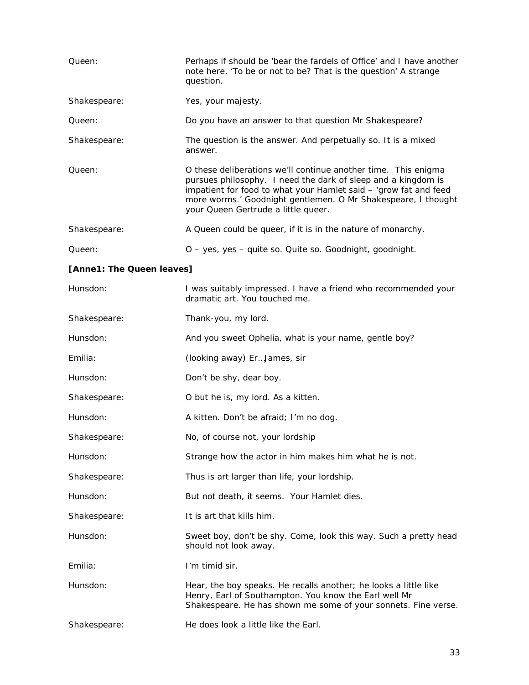| Queen:                    | Perhaps if should be 'bear the fardels of Office' and I have another<br>note here. 'To be or not to be? That is the question' A strange<br>question.                                                                                                                                                        |  |
|---------------------------|-------------------------------------------------------------------------------------------------------------------------------------------------------------------------------------------------------------------------------------------------------------------------------------------------------------|--|
| Shakespeare:              | Yes, your majesty.                                                                                                                                                                                                                                                                                          |  |
| Queen:                    | Do you have an answer to that question Mr Shakespeare?                                                                                                                                                                                                                                                      |  |
| Shakespeare:              | The question is the answer. And perpetually so. It is a mixed<br>answer.                                                                                                                                                                                                                                    |  |
| Queen:                    | O these deliberations we'll continue another time. This enigma<br>pursues philosophy. I need the dark of sleep and a kingdom is<br>impatient for food to what your Hamlet said - 'grow fat and feed<br>more worms.' Goodnight gentlemen. O Mr Shakespeare, I thought<br>your Queen Gertrude a little queer. |  |
| Shakespeare:              | A Queen could be queer, if it is in the nature of monarchy.                                                                                                                                                                                                                                                 |  |
| Queen:                    | O - yes, yes - quite so. Quite so. Goodnight, goodnight.                                                                                                                                                                                                                                                    |  |
| [Anne1: The Queen leaves] |                                                                                                                                                                                                                                                                                                             |  |
| Hunsdon:                  | I was suitably impressed. I have a friend who recommended your<br>dramatic art. You touched me.                                                                                                                                                                                                             |  |
| Shakespeare:              | Thank-you, my lord.                                                                                                                                                                                                                                                                                         |  |
| Hunsdon:                  | And you sweet Ophelia, what is your name, gentle boy?                                                                                                                                                                                                                                                       |  |
| Emilia:                   | (looking away) ErJames, sir                                                                                                                                                                                                                                                                                 |  |
| Hunsdon:                  | Don't be shy, dear boy.                                                                                                                                                                                                                                                                                     |  |
| Shakespeare:              | O but he is, my lord. As a kitten.                                                                                                                                                                                                                                                                          |  |
| Hunsdon:                  | A kitten. Don't be afraid; I'm no dog.                                                                                                                                                                                                                                                                      |  |
| Shakespeare:              | No, of course not, your lordship                                                                                                                                                                                                                                                                            |  |
| Hunsdon:                  | Strange how the actor in him makes him what he is not.                                                                                                                                                                                                                                                      |  |
| Shakespeare:              | Thus is art larger than life, your lordship.                                                                                                                                                                                                                                                                |  |
| Hunsdon:                  | But not death, it seems. Your Hamlet dies.                                                                                                                                                                                                                                                                  |  |
| Shakespeare:              | It is art that kills him.                                                                                                                                                                                                                                                                                   |  |
| Hunsdon:                  | Sweet boy, don't be shy. Come, look this way. Such a pretty head<br>should not look away.                                                                                                                                                                                                                   |  |
| Emilia:                   | I'm timid sir.                                                                                                                                                                                                                                                                                              |  |
| Hunsdon:                  | Hear, the boy speaks. He recalls another; he looks a little like<br>Henry, Earl of Southampton. You know the Earl well Mr<br>Shakespeare. He has shown me some of your sonnets. Fine verse.                                                                                                                 |  |
| Shakespeare:              | He does look a little like the Earl.                                                                                                                                                                                                                                                                        |  |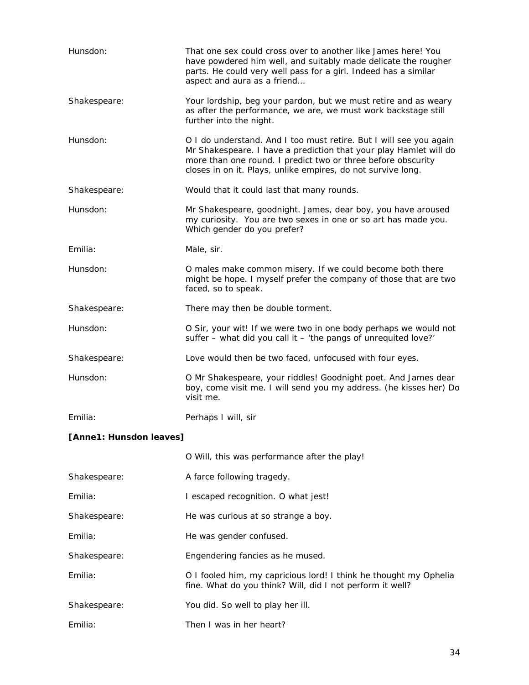| Hunsdon:                | That one sex could cross over to another like James here! You<br>have powdered him well, and suitably made delicate the rougher<br>parts. He could very well pass for a girl. Indeed has a similar<br>aspect and aura as a friend                                       |
|-------------------------|-------------------------------------------------------------------------------------------------------------------------------------------------------------------------------------------------------------------------------------------------------------------------|
| Shakespeare:            | Your lordship, beg your pardon, but we must retire and as weary<br>as after the performance, we are, we must work backstage still<br>further into the night.                                                                                                            |
| Hunsdon:                | O I do understand. And I too must retire. But I will see you again<br>Mr Shakespeare. I have a prediction that your play Hamlet will do<br>more than one round. I predict two or three before obscurity<br>closes in on it. Plays, unlike empires, do not survive long. |
| Shakespeare:            | Would that it could last that many rounds.                                                                                                                                                                                                                              |
| Hunsdon:                | Mr Shakespeare, goodnight. James, dear boy, you have aroused<br>my curiosity. You are two sexes in one or so art has made you.<br>Which gender do you prefer?                                                                                                           |
| Emilia:                 | Male, sir.                                                                                                                                                                                                                                                              |
| Hunsdon:                | O males make common misery. If we could become both there<br>might be hope. I myself prefer the company of those that are two<br>faced, so to speak.                                                                                                                    |
| Shakespeare:            | There may then be double torment.                                                                                                                                                                                                                                       |
| Hunsdon:                | O Sir, your wit! If we were two in one body perhaps we would not<br>suffer - what did you call it - 'the pangs of unrequited love?'                                                                                                                                     |
| Shakespeare:            | Love would then be two faced, unfocused with four eyes.                                                                                                                                                                                                                 |
| Hunsdon:                | O Mr Shakespeare, your riddles! Goodnight poet. And James dear<br>boy, come visit me. I will send you my address. (he kisses her) Do<br>visit me.                                                                                                                       |
| Emilia:                 | Perhaps I will, sir                                                                                                                                                                                                                                                     |
| [Anne1: Hunsdon leaves] |                                                                                                                                                                                                                                                                         |

|              | O Will, this was performance after the play!                                                                                   |
|--------------|--------------------------------------------------------------------------------------------------------------------------------|
| Shakespeare: | A farce following tragedy.                                                                                                     |
| Emilia:      | I escaped recognition. O what jest!                                                                                            |
| Shakespeare: | He was curious at so strange a boy.                                                                                            |
| Emilia:      | He was gender confused.                                                                                                        |
| Shakespeare: | Engendering fancies as he mused.                                                                                               |
| Emilia:      | O I fooled him, my capricious lord! I think he thought my Ophelia<br>fine. What do you think? Will, did I not perform it well? |
| Shakespeare: | You did. So well to play her ill.                                                                                              |
| Emilia:      | Then I was in her heart?                                                                                                       |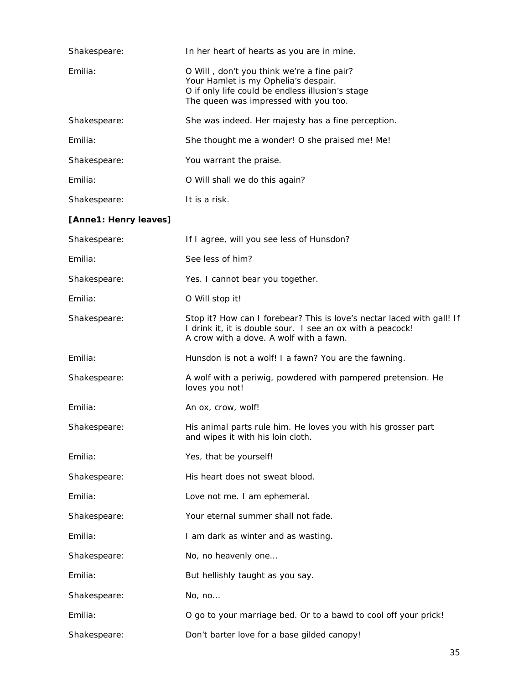| Shakespeare:          | In her heart of hearts as you are in mine.                                                                                                                                      |
|-----------------------|---------------------------------------------------------------------------------------------------------------------------------------------------------------------------------|
| Emilia:               | O Will, don't you think we're a fine pair?<br>Your Hamlet is my Ophelia's despair.<br>O if only life could be endless illusion's stage<br>The queen was impressed with you too. |
| Shakespeare:          | She was indeed. Her majesty has a fine perception.                                                                                                                              |
| Emilia:               | She thought me a wonder! O she praised me! Me!                                                                                                                                  |
| Shakespeare:          | You warrant the praise.                                                                                                                                                         |
| Emilia:               | O Will shall we do this again?                                                                                                                                                  |
| Shakespeare:          | It is a risk.                                                                                                                                                                   |
| [Anne1: Henry leaves] |                                                                                                                                                                                 |
| Shakespeare:          | If I agree, will you see less of Hunsdon?                                                                                                                                       |
| Emilia:               | See less of him?                                                                                                                                                                |
| Shakespeare:          | Yes. I cannot bear you together.                                                                                                                                                |
| Emilia:               | O Will stop it!                                                                                                                                                                 |
| Shakespeare:          | Stop it? How can I forebear? This is love's nectar laced with gall! If<br>I drink it, it is double sour. I see an ox with a peacock!<br>A crow with a dove. A wolf with a fawn. |
| Emilia:               | Hunsdon is not a wolf! I a fawn? You are the fawning.                                                                                                                           |
| Shakespeare:          | A wolf with a periwig, powdered with pampered pretension. He<br>loves you not!                                                                                                  |
| Emilia:               | An ox, crow, wolf!                                                                                                                                                              |
| Shakespeare:          | His animal parts rule him. He loves you with his grosser part<br>and wipes it with his loin cloth.                                                                              |
| Emilia:               | Yes, that be yourself!                                                                                                                                                          |
| Shakespeare:          | His heart does not sweat blood.                                                                                                                                                 |
| Emilia:               | Love not me. I am ephemeral.                                                                                                                                                    |
| Shakespeare:          | Your eternal summer shall not fade.                                                                                                                                             |
| Emilia:               | I am dark as winter and as wasting.                                                                                                                                             |
| Shakespeare:          | No, no heavenly one                                                                                                                                                             |
| Emilia:               | But hellishly taught as you say.                                                                                                                                                |
| Shakespeare:          | No, no                                                                                                                                                                          |
| Emilia:               | O go to your marriage bed. Or to a bawd to cool off your prick!                                                                                                                 |
| Shakespeare:          | Don't barter love for a base gilded canopy!                                                                                                                                     |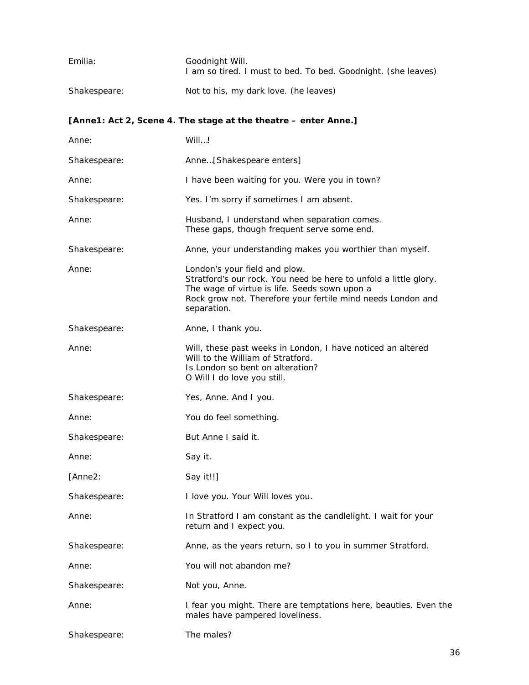| Emilia:      | Goodnight Will.<br>I am so tired. I must to bed. To bed. Goodnight. (she leaves)                                                                                                                                                 |
|--------------|----------------------------------------------------------------------------------------------------------------------------------------------------------------------------------------------------------------------------------|
| Shakespeare: | Not to his, my dark love. (he leaves)                                                                                                                                                                                            |
|              | [Anne1: Act 2, Scene 4. The stage at the theatre – enter Anne.]                                                                                                                                                                  |
| Anne:        | Will!                                                                                                                                                                                                                            |
| Shakespeare: | Anne[Shakespeare enters]                                                                                                                                                                                                         |
| Anne:        | I have been waiting for you. Were you in town?                                                                                                                                                                                   |
| Shakespeare: | Yes. I'm sorry if sometimes I am absent.                                                                                                                                                                                         |
| Anne:        | Husband, I understand when separation comes.<br>These gaps, though frequent serve some end.                                                                                                                                      |
| Shakespeare: | Anne, your understanding makes you worthier than myself.                                                                                                                                                                         |
| Anne:        | London's your field and plow.<br>Stratford's our rock. You need be here to unfold a little glory.<br>The wage of virtue is life. Seeds sown upon a<br>Rock grow not. Therefore your fertile mind needs London and<br>separation. |
| Shakespeare: | Anne, I thank you.                                                                                                                                                                                                               |
| Anne:        | Will, these past weeks in London, I have noticed an altered<br>Will to the William of Stratford.<br>Is London so bent on alteration?<br>O Will I do love you still.                                                              |
| Shakespeare: | Yes, Anne. And I you.                                                                                                                                                                                                            |
| Anne:        | You do feel something.                                                                                                                                                                                                           |
| Shakespeare: | But Anne I said it.                                                                                                                                                                                                              |
| Anne:        | Say it.                                                                                                                                                                                                                          |
| [Anne2:      | Say it!!]                                                                                                                                                                                                                        |
| Shakespeare: | I love you. Your Will loves you.                                                                                                                                                                                                 |
| Anne:        | In Stratford I am constant as the candlelight. I wait for your<br>return and I expect you.                                                                                                                                       |
| Shakespeare: | Anne, as the years return, so I to you in summer Stratford.                                                                                                                                                                      |
| Anne:        | You will not abandon me?                                                                                                                                                                                                         |
| Shakespeare: | Not you, Anne.                                                                                                                                                                                                                   |
| Anne:        | I fear you might. There are temptations here, beauties. Even the<br>males have pampered loveliness.                                                                                                                              |
| Shakespeare: | The males?                                                                                                                                                                                                                       |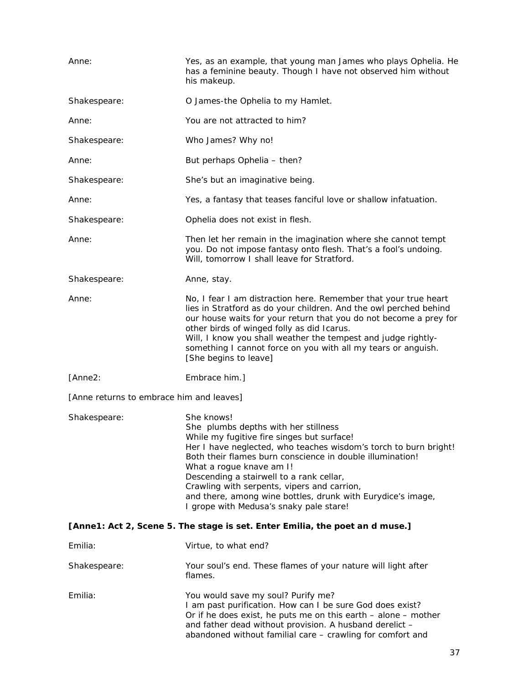| Anne:                                                                        | Yes, as an example, that young man James who plays Ophelia. He<br>has a feminine beauty. Though I have not observed him without<br>his makeup.                                                                                                                                                                                                                                                                                                                     |
|------------------------------------------------------------------------------|--------------------------------------------------------------------------------------------------------------------------------------------------------------------------------------------------------------------------------------------------------------------------------------------------------------------------------------------------------------------------------------------------------------------------------------------------------------------|
| Shakespeare:                                                                 | O James-the Ophelia to my Hamlet.                                                                                                                                                                                                                                                                                                                                                                                                                                  |
| Anne:                                                                        | You are not attracted to him?                                                                                                                                                                                                                                                                                                                                                                                                                                      |
| Shakespeare:                                                                 | Who James? Why no!                                                                                                                                                                                                                                                                                                                                                                                                                                                 |
| Anne:                                                                        | But perhaps Ophelia - then?                                                                                                                                                                                                                                                                                                                                                                                                                                        |
| Shakespeare:                                                                 | She's but an imaginative being.                                                                                                                                                                                                                                                                                                                                                                                                                                    |
| Anne:                                                                        | Yes, a fantasy that teases fanciful love or shallow infatuation.                                                                                                                                                                                                                                                                                                                                                                                                   |
| Shakespeare:                                                                 | Ophelia does not exist in flesh.                                                                                                                                                                                                                                                                                                                                                                                                                                   |
| Anne:                                                                        | Then let her remain in the imagination where she cannot tempt<br>you. Do not impose fantasy onto flesh. That's a fool's undoing.<br>Will, tomorrow I shall leave for Stratford.                                                                                                                                                                                                                                                                                    |
| Shakespeare:                                                                 | Anne, stay.                                                                                                                                                                                                                                                                                                                                                                                                                                                        |
| Anne:                                                                        | No, I fear I am distraction here. Remember that your true heart<br>lies in Stratford as do your children. And the owl perched behind<br>our house waits for your return that you do not become a prey for<br>other birds of winged folly as did Icarus.<br>Will, I know you shall weather the tempest and judge rightly-<br>something I cannot force on you with all my tears or anguish.<br>[She begins to leave]                                                 |
| [Anne2:                                                                      | Embrace him.]                                                                                                                                                                                                                                                                                                                                                                                                                                                      |
| [Anne returns to embrace him and leaves]                                     |                                                                                                                                                                                                                                                                                                                                                                                                                                                                    |
| Shakespeare:                                                                 | She knows!<br>She plumbs depths with her stillness<br>While my fugitive fire singes but surface!<br>Her I have neglected, who teaches wisdom's torch to burn bright!<br>Both their flames burn conscience in double illumination!<br>What a rogue knave am I!<br>Descending a stairwell to a rank cellar,<br>Crawling with serpents, vipers and carrion,<br>and there, among wine bottles, drunk with Eurydice's image,<br>I grope with Medusa's snaky pale stare! |
| [Anne1: Act 2, Scene 5. The stage is set. Enter Emilia, the poet an d muse.] |                                                                                                                                                                                                                                                                                                                                                                                                                                                                    |
| Emilia:                                                                      | Virtue, to what end?                                                                                                                                                                                                                                                                                                                                                                                                                                               |
| Shakespeare:                                                                 | Your soul's end. These flames of your nature will light after<br>flames.                                                                                                                                                                                                                                                                                                                                                                                           |
| Emilia:                                                                      | You would save my soul? Purify me?<br>I am past purification. How can I be sure God does exist?<br>Or if he does exist, he puts me on this earth $-$ alone $-$ mother<br>and father dead without provision. A husband derelict -<br>abandoned without familial care - crawling for comfort and                                                                                                                                                                     |
|                                                                              | 37                                                                                                                                                                                                                                                                                                                                                                                                                                                                 |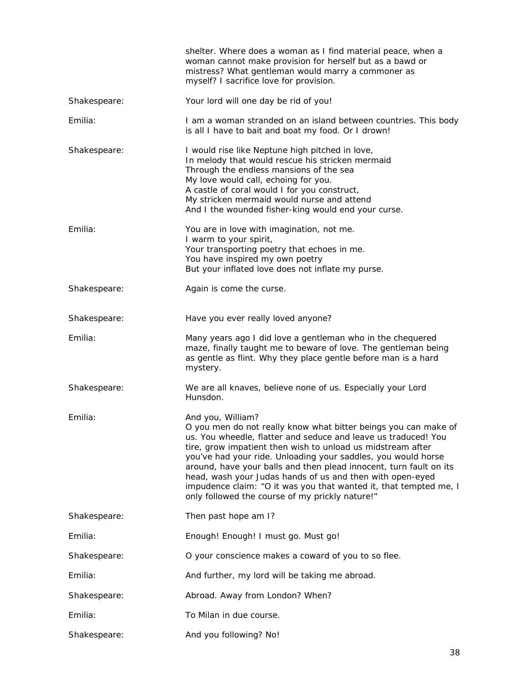|              | shelter. Where does a woman as I find material peace, when a<br>woman cannot make provision for herself but as a bawd or<br>mistress? What gentleman would marry a commoner as<br>myself? I sacrifice love for provision.                                                                                                                                                                                                                                                                                                                         |
|--------------|---------------------------------------------------------------------------------------------------------------------------------------------------------------------------------------------------------------------------------------------------------------------------------------------------------------------------------------------------------------------------------------------------------------------------------------------------------------------------------------------------------------------------------------------------|
| Shakespeare: | Your lord will one day be rid of you!                                                                                                                                                                                                                                                                                                                                                                                                                                                                                                             |
| Emilia:      | I am a woman stranded on an island between countries. This body<br>is all I have to bait and boat my food. Or I drown!                                                                                                                                                                                                                                                                                                                                                                                                                            |
| Shakespeare: | I would rise like Neptune high pitched in love,<br>In melody that would rescue his stricken mermaid<br>Through the endless mansions of the sea<br>My love would call, echoing for you.<br>A castle of coral would I for you construct,<br>My stricken mermaid would nurse and attend<br>And I the wounded fisher-king would end your curse.                                                                                                                                                                                                       |
| Emilia:      | You are in love with imagination, not me.<br>I warm to your spirit,<br>Your transporting poetry that echoes in me.<br>You have inspired my own poetry<br>But your inflated love does not inflate my purse.                                                                                                                                                                                                                                                                                                                                        |
| Shakespeare: | Again is come the curse.                                                                                                                                                                                                                                                                                                                                                                                                                                                                                                                          |
| Shakespeare: | Have you ever really loved anyone?                                                                                                                                                                                                                                                                                                                                                                                                                                                                                                                |
| Emilia:      | Many years ago I did love a gentleman who in the chequered<br>maze, finally taught me to beware of love. The gentleman being<br>as gentle as flint. Why they place gentle before man is a hard<br>mystery.                                                                                                                                                                                                                                                                                                                                        |
| Shakespeare: | We are all knaves, believe none of us. Especially your Lord<br>Hunsdon.                                                                                                                                                                                                                                                                                                                                                                                                                                                                           |
| Emilia:      | And you, William?<br>O you men do not really know what bitter beings you can make of<br>us. You wheedle, flatter and seduce and leave us traduced! You<br>tire, grow impatient then wish to unload us midstream after<br>you've had your ride. Unloading your saddles, you would horse<br>around, have your balls and then plead innocent, turn fault on its<br>head, wash your Judas hands of us and then with open-eyed<br>impudence claim: "O it was you that wanted it, that tempted me, I<br>only followed the course of my prickly nature!" |
| Shakespeare: | Then past hope am I?                                                                                                                                                                                                                                                                                                                                                                                                                                                                                                                              |
| Emilia:      | Enough! Enough! I must go. Must go!                                                                                                                                                                                                                                                                                                                                                                                                                                                                                                               |
| Shakespeare: | O your conscience makes a coward of you to so flee.                                                                                                                                                                                                                                                                                                                                                                                                                                                                                               |
| Emilia:      | And further, my lord will be taking me abroad.                                                                                                                                                                                                                                                                                                                                                                                                                                                                                                    |
| Shakespeare: | Abroad. Away from London? When?                                                                                                                                                                                                                                                                                                                                                                                                                                                                                                                   |
| Emilia:      | To Milan in due course.                                                                                                                                                                                                                                                                                                                                                                                                                                                                                                                           |
| Shakespeare: | And you following? No!                                                                                                                                                                                                                                                                                                                                                                                                                                                                                                                            |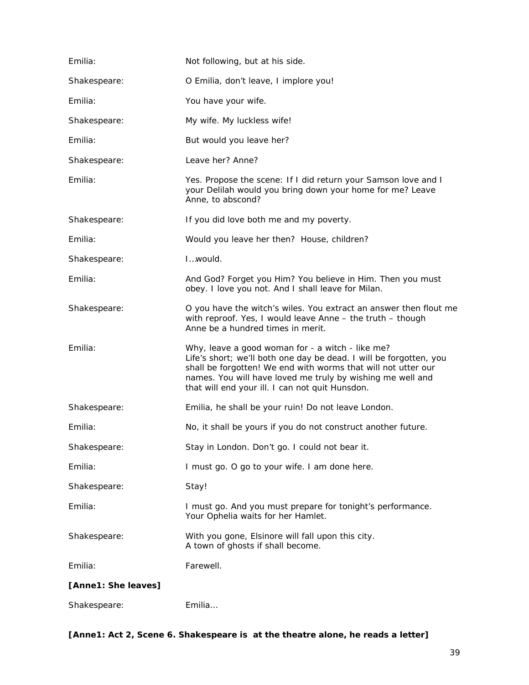| Emilia:             | Not following, but at his side.                                                                                                                                                                                                                                                                          |
|---------------------|----------------------------------------------------------------------------------------------------------------------------------------------------------------------------------------------------------------------------------------------------------------------------------------------------------|
| Shakespeare:        | O Emilia, don't leave, I implore you!                                                                                                                                                                                                                                                                    |
| Emilia:             | You have your wife.                                                                                                                                                                                                                                                                                      |
| Shakespeare:        | My wife. My luckless wife!                                                                                                                                                                                                                                                                               |
| Emilia:             | But would you leave her?                                                                                                                                                                                                                                                                                 |
| Shakespeare:        | Leave her? Anne?                                                                                                                                                                                                                                                                                         |
| Emilia:             | Yes. Propose the scene: If I did return your Samson love and I<br>your Delilah would you bring down your home for me? Leave<br>Anne, to abscond?                                                                                                                                                         |
| Shakespeare:        | If you did love both me and my poverty.                                                                                                                                                                                                                                                                  |
| Emilia:             | Would you leave her then? House, children?                                                                                                                                                                                                                                                               |
| Shakespeare:        | Iwould.                                                                                                                                                                                                                                                                                                  |
| Emilia:             | And God? Forget you Him? You believe in Him. Then you must<br>obey. I love you not. And I shall leave for Milan.                                                                                                                                                                                         |
| Shakespeare:        | O you have the witch's wiles. You extract an answer then flout me<br>with reproof. Yes, I would leave Anne - the truth - though<br>Anne be a hundred times in merit.                                                                                                                                     |
| Emilia:             | Why, leave a good woman for - a witch - like me?<br>Life's short; we'll both one day be dead. I will be forgotten, you<br>shall be forgotten! We end with worms that will not utter our<br>names. You will have loved me truly by wishing me well and<br>that will end your ill. I can not quit Hunsdon. |
| Shakespeare:        | Emilia, he shall be your ruin! Do not leave London.                                                                                                                                                                                                                                                      |
| Emilia:             | No, it shall be yours if you do not construct another future.                                                                                                                                                                                                                                            |
| Shakespeare:        | Stay in London. Don't go. I could not bear it.                                                                                                                                                                                                                                                           |
| Emilia:             | I must go. O go to your wife. I am done here.                                                                                                                                                                                                                                                            |
| Shakespeare:        | Stay!                                                                                                                                                                                                                                                                                                    |
| Emilia:             | I must go. And you must prepare for tonight's performance.<br>Your Ophelia waits for her Hamlet.                                                                                                                                                                                                         |
| Shakespeare:        | With you gone, Elsinore will fall upon this city.<br>A town of ghosts if shall become.                                                                                                                                                                                                                   |
| Emilia:             | Farewell.                                                                                                                                                                                                                                                                                                |
| [Anne1: She leaves] |                                                                                                                                                                                                                                                                                                          |
| Shakespeare:        | Emilia                                                                                                                                                                                                                                                                                                   |

[Anne1: Act 2, Scene 6. Shakespeare is at the theatre alone, he reads a letter]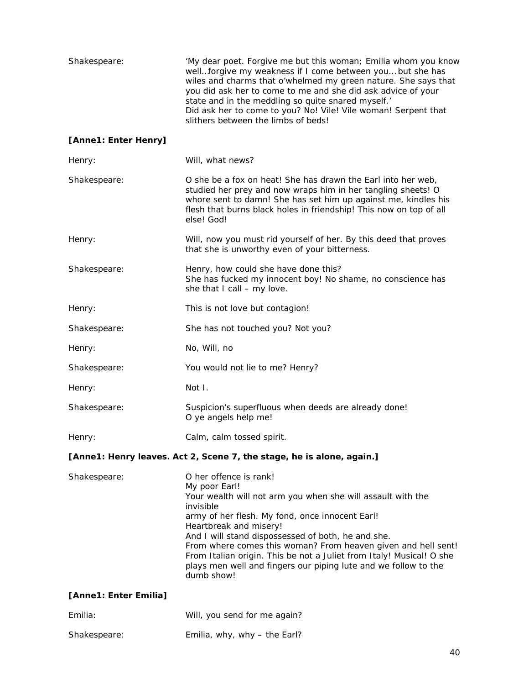| Shakespeare:          | 'My dear poet. Forgive me but this woman; Emilia whom you know<br>wellforgive my weakness if I come between you but she has<br>wiles and charms that o'whelmed my green nature. She says that<br>you did ask her to come to me and she did ask advice of your<br>state and in the meddling so quite snared myself.'<br>Did ask her to come to you? No! Vile! Vile woman! Serpent that<br>slithers between the limbs of beds!                                                     |
|-----------------------|----------------------------------------------------------------------------------------------------------------------------------------------------------------------------------------------------------------------------------------------------------------------------------------------------------------------------------------------------------------------------------------------------------------------------------------------------------------------------------|
| [Anne1: Enter Henry]  |                                                                                                                                                                                                                                                                                                                                                                                                                                                                                  |
| Henry:                | Will, what news?                                                                                                                                                                                                                                                                                                                                                                                                                                                                 |
| Shakespeare:          | O she be a fox on heat! She has drawn the Earl into her web,<br>studied her prey and now wraps him in her tangling sheets! O<br>whore sent to damn! She has set him up against me, kindles his<br>flesh that burns black holes in friendship! This now on top of all<br>else! God!                                                                                                                                                                                               |
| Henry:                | Will, now you must rid yourself of her. By this deed that proves<br>that she is unworthy even of your bitterness.                                                                                                                                                                                                                                                                                                                                                                |
| Shakespeare:          | Henry, how could she have done this?<br>She has fucked my innocent boy! No shame, no conscience has<br>she that I call - my love.                                                                                                                                                                                                                                                                                                                                                |
| Henry:                | This is not love but contagion!                                                                                                                                                                                                                                                                                                                                                                                                                                                  |
| Shakespeare:          | She has not touched you? Not you?                                                                                                                                                                                                                                                                                                                                                                                                                                                |
| Henry:                | No, Will, no                                                                                                                                                                                                                                                                                                                                                                                                                                                                     |
| Shakespeare:          | You would not lie to me? Henry?                                                                                                                                                                                                                                                                                                                                                                                                                                                  |
| Henry:                | Not I.                                                                                                                                                                                                                                                                                                                                                                                                                                                                           |
| Shakespeare:          | Suspicion's superfluous when deeds are already done!<br>O ye angels help me!                                                                                                                                                                                                                                                                                                                                                                                                     |
| Henry:                | Calm, calm tossed spirit.                                                                                                                                                                                                                                                                                                                                                                                                                                                        |
|                       | [Anne1: Henry leaves. Act 2, Scene 7, the stage, he is alone, again.]                                                                                                                                                                                                                                                                                                                                                                                                            |
| Shakespeare:          | O her offence is rank!<br>My poor Earl!<br>Your wealth will not arm you when she will assault with the<br>invisible<br>army of her flesh. My fond, once innocent Earl!<br>Heartbreak and misery!<br>And I will stand dispossessed of both, he and she.<br>From where comes this woman? From heaven given and hell sent!<br>From Italian origin. This be not a Juliet from Italy! Musical! O she<br>plays men well and fingers our piping lute and we follow to the<br>dumb show! |
| [Anne1: Enter Emilia] |                                                                                                                                                                                                                                                                                                                                                                                                                                                                                  |
| Emilia:               | Will, you send for me again?                                                                                                                                                                                                                                                                                                                                                                                                                                                     |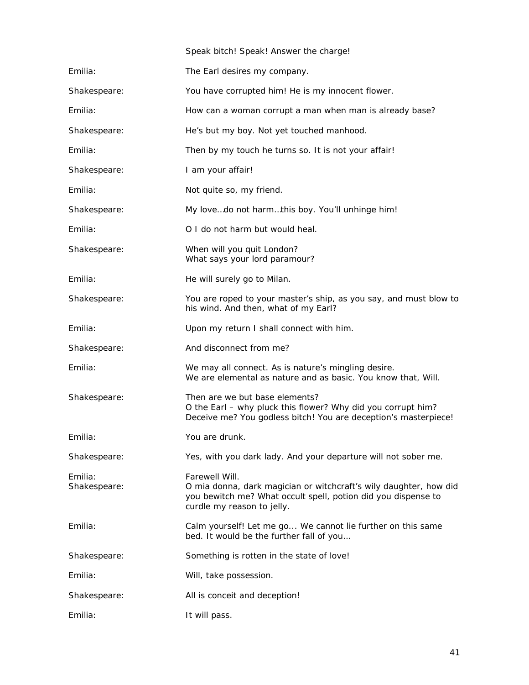|                         | Speak bitch! Speak! Answer the charge!                                                                                                                                             |
|-------------------------|------------------------------------------------------------------------------------------------------------------------------------------------------------------------------------|
| Emilia:                 | The Earl desires my company.                                                                                                                                                       |
| Shakespeare:            | You have corrupted him! He is my innocent flower.                                                                                                                                  |
| Emilia:                 | How can a woman corrupt a man when man is already base?                                                                                                                            |
| Shakespeare:            | He's but my boy. Not yet touched manhood.                                                                                                                                          |
| Emilia:                 | Then by my touch he turns so. It is not your affair!                                                                                                                               |
| Shakespeare:            | I am your affair!                                                                                                                                                                  |
| Emilia:                 | Not quite so, my friend.                                                                                                                                                           |
| Shakespeare:            | My lovedo not harmthis boy. You'll unhinge him!                                                                                                                                    |
| Emilia:                 | O I do not harm but would heal.                                                                                                                                                    |
| Shakespeare:            | When will you quit London?<br>What says your lord paramour?                                                                                                                        |
| Emilia:                 | He will surely go to Milan.                                                                                                                                                        |
| Shakespeare:            | You are roped to your master's ship, as you say, and must blow to<br>his wind. And then, what of my Earl?                                                                          |
| Emilia:                 | Upon my return I shall connect with him.                                                                                                                                           |
| Shakespeare:            | And disconnect from me?                                                                                                                                                            |
| Emilia:                 | We may all connect. As is nature's mingling desire.<br>We are elemental as nature and as basic. You know that, Will.                                                               |
| Shakespeare:            | Then are we but base elements?<br>O the Earl - why pluck this flower? Why did you corrupt him?<br>Deceive me? You godless bitch! You are deception's masterpiece!                  |
| Emilia:                 | You are drunk.                                                                                                                                                                     |
| Shakespeare:            | Yes, with you dark lady. And your departure will not sober me.                                                                                                                     |
| Emilia:<br>Shakespeare: | Farewell Will.<br>O mia donna, dark magician or witchcraft's wily daughter, how did<br>you bewitch me? What occult spell, potion did you dispense to<br>curdle my reason to jelly. |
| Emilia:                 | Calm yourself! Let me go We cannot lie further on this same<br>bed. It would be the further fall of you                                                                            |
| Shakespeare:            | Something is rotten in the state of love!                                                                                                                                          |
| Emilia:                 | Will, take possession.                                                                                                                                                             |
| Shakespeare:            | All is conceit and deception!                                                                                                                                                      |
| Emilia:                 | It will pass.                                                                                                                                                                      |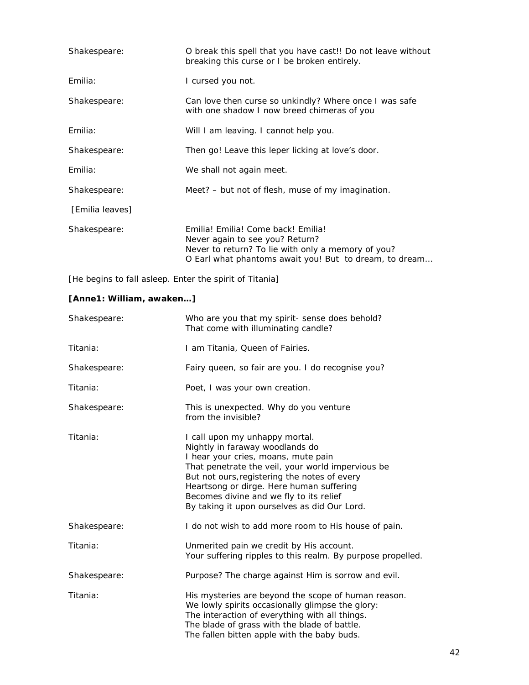| Shakespeare:    | O break this spell that you have cast!! Do not leave without<br>breaking this curse or I be broken entirely.                                                                          |
|-----------------|---------------------------------------------------------------------------------------------------------------------------------------------------------------------------------------|
| Emilia:         | I cursed you not.                                                                                                                                                                     |
| Shakespeare:    | Can love then curse so unkindly? Where once I was safe<br>with one shadow I now breed chimeras of you                                                                                 |
| Emilia:         | Will I am leaving. I cannot help you.                                                                                                                                                 |
| Shakespeare:    | Then go! Leave this leper licking at love's door.                                                                                                                                     |
| Emilia:         | We shall not again meet.                                                                                                                                                              |
| Shakespeare:    | Meet? – but not of flesh, muse of my imagination.                                                                                                                                     |
| [Emilia leaves] |                                                                                                                                                                                       |
| Shakespeare:    | Emilia! Emilia! Come back! Emilia!<br>Never again to see you? Return?<br>Never to return? To lie with only a memory of you?<br>O Earl what phantoms await you! But to dream, to dream |

*[He begins to fall asleep. Enter the spirit of Titania]* 

#### *[Anne1: William, awaken…]*

| Shakespeare: | Who are you that my spirit- sense does behold?<br>That come with illuminating candle?                                                                                                                                                                                                                                                                |
|--------------|------------------------------------------------------------------------------------------------------------------------------------------------------------------------------------------------------------------------------------------------------------------------------------------------------------------------------------------------------|
| Titania:     | I am Titania, Queen of Fairies.                                                                                                                                                                                                                                                                                                                      |
| Shakespeare: | Fairy queen, so fair are you. I do recognise you?                                                                                                                                                                                                                                                                                                    |
| Titania:     | Poet, I was your own creation.                                                                                                                                                                                                                                                                                                                       |
| Shakespeare: | This is unexpected. Why do you venture<br>from the invisible?                                                                                                                                                                                                                                                                                        |
| Titania:     | I call upon my unhappy mortal.<br>Nightly in faraway woodlands do<br>I hear your cries, moans, mute pain<br>That penetrate the veil, your world impervious be<br>But not ours, registering the notes of every<br>Heartsong or dirge. Here human suffering<br>Becomes divine and we fly to its relief<br>By taking it upon ourselves as did Our Lord. |
| Shakespeare: | I do not wish to add more room to His house of pain.                                                                                                                                                                                                                                                                                                 |
| Titania:     | Unmerited pain we credit by His account.<br>Your suffering ripples to this realm. By purpose propelled.                                                                                                                                                                                                                                              |
| Shakespeare: | Purpose? The charge against Him is sorrow and evil.                                                                                                                                                                                                                                                                                                  |
| Titania:     | His mysteries are beyond the scope of human reason.<br>We lowly spirits occasionally glimpse the glory:<br>The interaction of everything with all things.<br>The blade of grass with the blade of battle.<br>The fallen bitten apple with the baby buds.                                                                                             |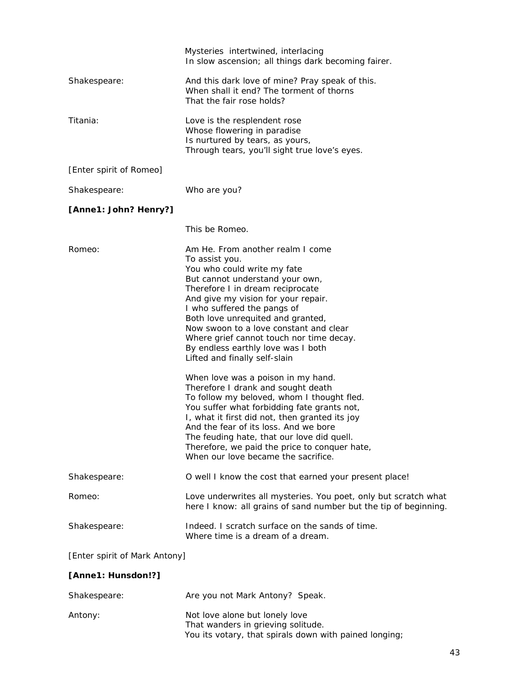|                               | Mysteries intertwined, interlacing<br>In slow ascension; all things dark becoming fairer.                                                                                                                                                                                                                                                                                                                                        |  |
|-------------------------------|----------------------------------------------------------------------------------------------------------------------------------------------------------------------------------------------------------------------------------------------------------------------------------------------------------------------------------------------------------------------------------------------------------------------------------|--|
| Shakespeare:                  | And this dark love of mine? Pray speak of this.<br>When shall it end? The torment of thorns<br>That the fair rose holds?                                                                                                                                                                                                                                                                                                         |  |
| Titania:                      | Love is the resplendent rose<br>Whose flowering in paradise<br>Is nurtured by tears, as yours,<br>Through tears, you'll sight true love's eyes.                                                                                                                                                                                                                                                                                  |  |
| [Enter spirit of Romeo]       |                                                                                                                                                                                                                                                                                                                                                                                                                                  |  |
| Shakespeare:                  | Who are you?                                                                                                                                                                                                                                                                                                                                                                                                                     |  |
| [Anne1: John? Henry?]         |                                                                                                                                                                                                                                                                                                                                                                                                                                  |  |
|                               | This be Romeo.                                                                                                                                                                                                                                                                                                                                                                                                                   |  |
| Romeo:                        | Am He. From another realm I come<br>To assist you.<br>You who could write my fate<br>But cannot understand your own,<br>Therefore I in dream reciprocate<br>And give my vision for your repair.<br>I who suffered the pangs of<br>Both love unrequited and granted,<br>Now swoon to a love constant and clear<br>Where grief cannot touch nor time decay.<br>By endless earthly love was I both<br>Lifted and finally self-slain |  |
|                               | When love was a poison in my hand.<br>Therefore I drank and sought death<br>To follow my beloved, whom I thought fled.<br>You suffer what forbidding fate grants not,<br>I, what it first did not, then granted its joy<br>And the fear of its loss. And we bore<br>The feuding hate, that our love did quell.<br>Therefore, we paid the price to conquer hate,<br>When our love became the sacrifice.                           |  |
| Shakespeare:                  | O well I know the cost that earned your present place!                                                                                                                                                                                                                                                                                                                                                                           |  |
| Romeo:                        | Love underwrites all mysteries. You poet, only but scratch what<br>here I know: all grains of sand number but the tip of beginning.                                                                                                                                                                                                                                                                                              |  |
| Shakespeare:                  | Indeed. I scratch surface on the sands of time.<br>Where time is a dream of a dream.                                                                                                                                                                                                                                                                                                                                             |  |
| [Enter spirit of Mark Antony] |                                                                                                                                                                                                                                                                                                                                                                                                                                  |  |

#### *[Anne1: Hunsdon!?]*

| Shakespeare: | Are you not Mark Antony? Speak.                                                                                                |
|--------------|--------------------------------------------------------------------------------------------------------------------------------|
| Antony:      | Not love alone but lonely love<br>That wanders in grieving solitude.<br>You its votary, that spirals down with pained longing; |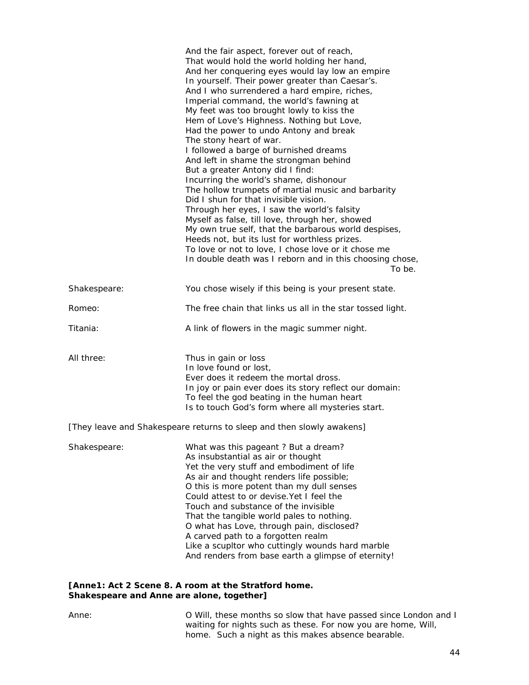|              | And the fair aspect, forever out of reach,<br>That would hold the world holding her hand,<br>And her conquering eyes would lay low an empire<br>In yourself. Their power greater than Caesar's.<br>And I who surrendered a hard empire, riches,<br>Imperial command, the world's fawning at<br>My feet was too brought lowly to kiss the<br>Hem of Love's Highness. Nothing but Love,<br>Had the power to undo Antony and break<br>The stony heart of war.<br>I followed a barge of burnished dreams<br>And left in shame the strongman behind<br>But a greater Antony did I find:<br>Incurring the world's shame, dishonour<br>The hollow trumpets of martial music and barbarity<br>Did I shun for that invisible vision.<br>Through her eyes, I saw the world's falsity<br>Myself as false, till love, through her, showed<br>My own true self, that the barbarous world despises,<br>Heeds not, but its lust for worthless prizes.<br>To love or not to love, I chose love or it chose me<br>In double death was I reborn and in this choosing chose,<br>To be. |
|--------------|---------------------------------------------------------------------------------------------------------------------------------------------------------------------------------------------------------------------------------------------------------------------------------------------------------------------------------------------------------------------------------------------------------------------------------------------------------------------------------------------------------------------------------------------------------------------------------------------------------------------------------------------------------------------------------------------------------------------------------------------------------------------------------------------------------------------------------------------------------------------------------------------------------------------------------------------------------------------------------------------------------------------------------------------------------------------|
| Shakespeare: | You chose wisely if this being is your present state.                                                                                                                                                                                                                                                                                                                                                                                                                                                                                                                                                                                                                                                                                                                                                                                                                                                                                                                                                                                                               |
| Romeo:       | The free chain that links us all in the star tossed light.                                                                                                                                                                                                                                                                                                                                                                                                                                                                                                                                                                                                                                                                                                                                                                                                                                                                                                                                                                                                          |
| Titania:     | A link of flowers in the magic summer night.                                                                                                                                                                                                                                                                                                                                                                                                                                                                                                                                                                                                                                                                                                                                                                                                                                                                                                                                                                                                                        |
| All three:   | Thus in gain or loss<br>In love found or lost,<br>Ever does it redeem the mortal dross.<br>In joy or pain ever does its story reflect our domain:<br>To feel the god beating in the human heart<br>Is to touch God's form where all mysteries start.                                                                                                                                                                                                                                                                                                                                                                                                                                                                                                                                                                                                                                                                                                                                                                                                                |
|              | [They leave and Shakespeare returns to sleep and then slowly awakens]                                                                                                                                                                                                                                                                                                                                                                                                                                                                                                                                                                                                                                                                                                                                                                                                                                                                                                                                                                                               |
| Shakespeare: | What was this pageant? But a dream?<br>As insubstantial as air or thought<br>Yet the very stuff and embodiment of life<br>As air and thought renders life possible;<br>O this is more potent than my dull senses<br>Could attest to or devise. Yet I feel the<br>Touch and substance of the invisible<br>That the tangible world pales to nothing.<br>O what has Love, through pain, disclosed?<br>A carved path to a forgotten realm                                                                                                                                                                                                                                                                                                                                                                                                                                                                                                                                                                                                                               |

#### *[Anne1: Act 2 Scene 8. A room at the Stratford home. Shakespeare and Anne are alone, together]*

Anne: O Will, these months so slow that have passed since London and I waiting for nights such as these. For now you are home, Will, home. Such a night as this makes absence bearable.

Like a scupltor who cuttingly wounds hard marble And renders from base earth a glimpse of eternity!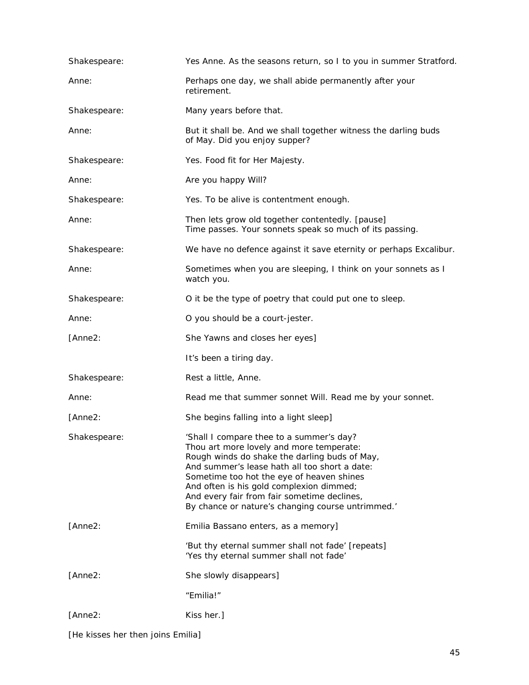| Shakespeare: | Yes Anne. As the seasons return, so I to you in summer Stratford.                                                                                                                                                                                                                                                                                                                   |
|--------------|-------------------------------------------------------------------------------------------------------------------------------------------------------------------------------------------------------------------------------------------------------------------------------------------------------------------------------------------------------------------------------------|
| Anne:        | Perhaps one day, we shall abide permanently after your<br>retirement.                                                                                                                                                                                                                                                                                                               |
| Shakespeare: | Many years before that.                                                                                                                                                                                                                                                                                                                                                             |
| Anne:        | But it shall be. And we shall together witness the darling buds<br>of May. Did you enjoy supper?                                                                                                                                                                                                                                                                                    |
| Shakespeare: | Yes. Food fit for Her Majesty.                                                                                                                                                                                                                                                                                                                                                      |
| Anne:        | Are you happy Will?                                                                                                                                                                                                                                                                                                                                                                 |
| Shakespeare: | Yes. To be alive is contentment enough.                                                                                                                                                                                                                                                                                                                                             |
| Anne:        | Then lets grow old together contentedly. [pause]<br>Time passes. Your sonnets speak so much of its passing.                                                                                                                                                                                                                                                                         |
| Shakespeare: | We have no defence against it save eternity or perhaps Excalibur.                                                                                                                                                                                                                                                                                                                   |
| Anne:        | Sometimes when you are sleeping, I think on your sonnets as I<br>watch you.                                                                                                                                                                                                                                                                                                         |
| Shakespeare: | O it be the type of poetry that could put one to sleep.                                                                                                                                                                                                                                                                                                                             |
| Anne:        | O you should be a court-jester.                                                                                                                                                                                                                                                                                                                                                     |
| [Anne2:      | She Yawns and closes her eyes]                                                                                                                                                                                                                                                                                                                                                      |
|              | It's been a tiring day.                                                                                                                                                                                                                                                                                                                                                             |
| Shakespeare: | Rest a little, Anne.                                                                                                                                                                                                                                                                                                                                                                |
| Anne:        | Read me that summer sonnet Will. Read me by your sonnet.                                                                                                                                                                                                                                                                                                                            |
| [Anne2:      | She begins falling into a light sleep]                                                                                                                                                                                                                                                                                                                                              |
| Shakespeare: | 'Shall I compare thee to a summer's day?<br>Thou art more lovely and more temperate:<br>Rough winds do shake the darling buds of May,<br>And summer's lease hath all too short a date:<br>Sometime too hot the eye of heaven shines<br>And often is his gold complexion dimmed;<br>And every fair from fair sometime declines,<br>By chance or nature's changing course untrimmed.' |
| [Anne2:      | Emilia Bassano enters, as a memory]                                                                                                                                                                                                                                                                                                                                                 |
|              | 'But thy eternal summer shall not fade' [repeats]<br>'Yes thy eternal summer shall not fade'                                                                                                                                                                                                                                                                                        |
| [Anne2:      | She slowly disappears]                                                                                                                                                                                                                                                                                                                                                              |
|              | "Emilia!"                                                                                                                                                                                                                                                                                                                                                                           |
| [Anne2:      | Kiss her.]                                                                                                                                                                                                                                                                                                                                                                          |
|              |                                                                                                                                                                                                                                                                                                                                                                                     |

*[He kisses her then joins Emilia]*